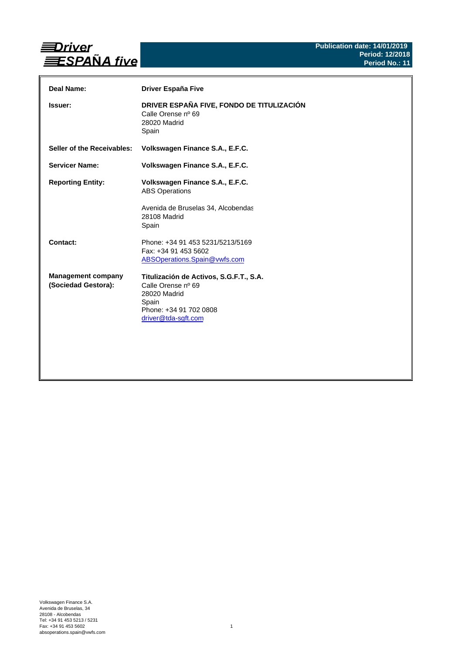

| Deal Name:                                       | <b>Driver España Five</b>                                                                                                               |
|--------------------------------------------------|-----------------------------------------------------------------------------------------------------------------------------------------|
| <b>Issuer:</b>                                   | DRIVER ESPAÑA FIVE, FONDO DE TITULIZACIÓN<br>Calle Orense nº 69<br>28020 Madrid<br>Spain                                                |
| Seller of the Receivables:                       | Volkswagen Finance S.A., E.F.C.                                                                                                         |
| <b>Servicer Name:</b>                            | Volkswagen Finance S.A., E.F.C.                                                                                                         |
| <b>Reporting Entity:</b>                         | Volkswagen Finance S.A., E.F.C.<br><b>ABS Operations</b><br>Avenida de Bruselas 34, Alcobendas<br>28108 Madrid<br>Spain                 |
| Contact:                                         | Phone: +34 91 453 5231/5213/5169<br>Fax: +34 91 453 5602<br>ABSOperations.Spain@vwfs.com                                                |
| <b>Management company</b><br>(Sociedad Gestora): | Titulización de Activos, S.G.F.T., S.A.<br>Calle Orense nº 69<br>28020 Madrid<br>Spain<br>Phone: +34 91 702 0808<br>driver@tda-sgft.com |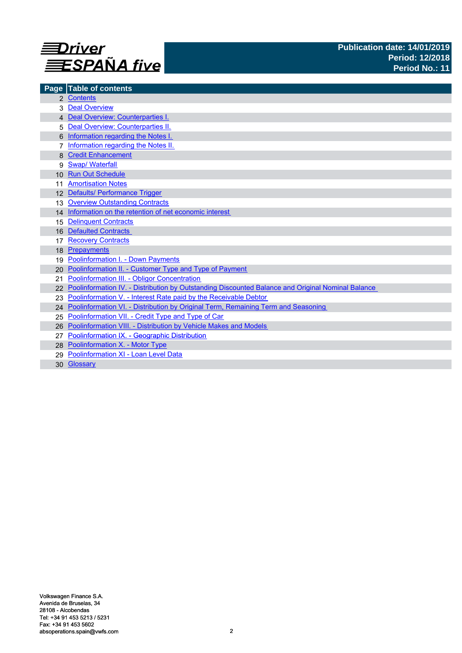

| Page            | <b>Table of contents</b>                                                                          |
|-----------------|---------------------------------------------------------------------------------------------------|
|                 | 2 Contents                                                                                        |
|                 | <b>Deal Overview</b>                                                                              |
|                 | 4 Deal Overview: Counterparties I.                                                                |
|                 | Deal Overview: Counterparties II.                                                                 |
|                 | Information regarding the Notes I.                                                                |
|                 | Information regarding the Notes II.                                                               |
|                 | <b>Credit Enhancement</b>                                                                         |
| 9               | <b>Swap/ Waterfall</b>                                                                            |
| 10 <sup>1</sup> | <b>Run Out Schedule</b>                                                                           |
|                 | <b>Amortisation Notes</b>                                                                         |
|                 | 12 Defaults/ Performance Trigger                                                                  |
| 13              | <b>Overview Outstanding Contracts</b>                                                             |
|                 | 14 Information on the retention of net economic interest                                          |
| 15              | <b>Delinquent Contracts</b>                                                                       |
| 16              | <b>Defaulted Contracts</b>                                                                        |
|                 | <b>Recovery Contracts</b>                                                                         |
| 18              | Prepayments                                                                                       |
| 19              | <b>Poolinformation I. - Down Payments</b>                                                         |
| 20.             | Poolinformation II. - Customer Type and Type of Payment                                           |
| 21              | Poolinformation III. - Obligor Concentration                                                      |
| 22              | Poolinformation IV. - Distribution by Outstanding Discounted Balance and Original Nominal Balance |
| 23              | Poolinformation V. - Interest Rate paid by the Receivable Debtor                                  |
| 24              | Poolinformation VI. - Distribution by Original Term, Remaining Term and Seasoning                 |
| 25              | Poolinformation VII. - Credit Type and Type of Car                                                |
| 26              | Poolinformation VIII. - Distribution by Vehicle Makes and Models                                  |
| 27              | Poolinformation IX. - Geographic Distribution                                                     |
|                 | 28 Poolinformation X. - Motor Type                                                                |
| 29              | Poolinformation XI - Loan Level Data                                                              |
|                 | 30 Glossary                                                                                       |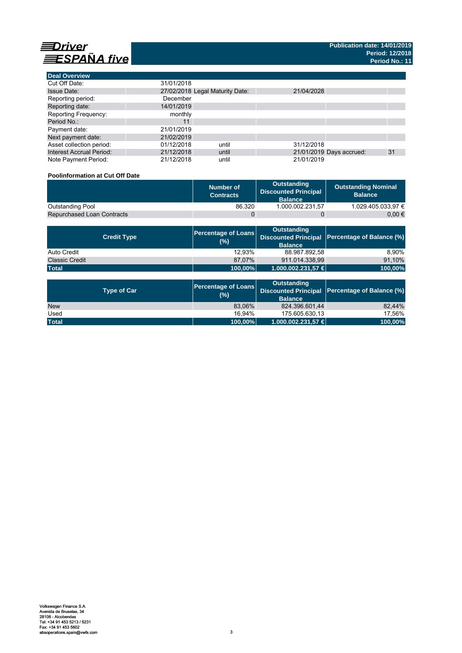

**Deal Overview**

| <b>Deal Overview</b>            |                                 |       |            |                          |    |
|---------------------------------|---------------------------------|-------|------------|--------------------------|----|
| Cut Off Date:                   | 31/01/2018                      |       |            |                          |    |
| <b>Issue Date:</b>              | 27/02/2018 Legal Maturity Date: |       | 21/04/2028 |                          |    |
| Reporting period:               | December                        |       |            |                          |    |
| Reporting date:                 | 14/01/2019                      |       |            |                          |    |
| <b>Reporting Frequency:</b>     | monthly                         |       |            |                          |    |
| Period No.:                     | 11                              |       |            |                          |    |
| Payment date:                   | 21/01/2019                      |       |            |                          |    |
| Next payment date:              | 21/02/2019                      |       |            |                          |    |
| Asset collection period:        | 01/12/2018                      | until | 31/12/2018 |                          |    |
| <b>Interest Accrual Period:</b> | 21/12/2018                      | until |            | 21/01/2019 Days accrued: | 31 |
| Note Payment Period:            | 21/12/2018                      | until | 21/01/2019 |                          |    |

## **Poolinformation at Cut Off Date**

|                                   | Number of<br><b>Contracts</b> | Outstanding<br><b>Discounted Principal</b><br><b>Balance</b> | <b>Outstanding Nominal</b><br><b>Balance</b> |
|-----------------------------------|-------------------------------|--------------------------------------------------------------|----------------------------------------------|
| <b>Outstanding Pool</b>           | 86.320                        | 1.000.002.231.57                                             | 1.029.405.033.97 €                           |
| <b>Repurchased Loan Contracts</b> |                               |                                                              | 0.00 €                                       |

| <b>Credit Type</b>    | <b>Percentage of Loans</b><br>(%) | Outstanding<br><b>Balance</b> | Discounted Principal Percentage of Balance (%) |
|-----------------------|-----------------------------------|-------------------------------|------------------------------------------------|
| Auto Credit           | 12.93%                            | 88.987.892,58                 | 8.90%                                          |
| <b>Classic Credit</b> | 87.07%                            | 911.014.338.99                | 91,10%                                         |
| <b>Total</b>          | 100,00%                           | 1.000.002.231,57 €            | 100,00%                                        |

| <b>Type of Car</b> | <b>Percentage of Loans</b><br>(%) | <b>Outstanding</b><br><b>Balance</b> | Discounted Principal Percentage of Balance (%) |
|--------------------|-----------------------------------|--------------------------------------|------------------------------------------------|
| <b>New</b>         | 83.06%                            | 824.396.601.44                       | 82.44%                                         |
| Used               | 16.94%                            | 175.605.630.13                       | 17.56%                                         |
| <b>Total</b>       | 100,00%                           | $1.000.002.231.57 \in$               | 100,00%                                        |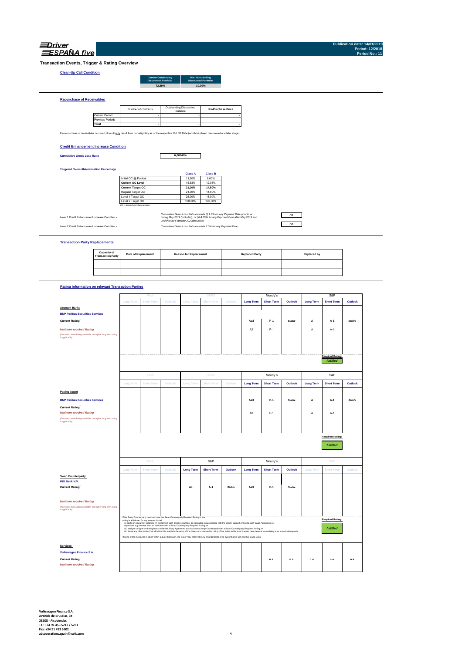| SPANA fi |
|----------|

**Publication date: Period: 12/2018 Period No.: 11**

**Transaction Events, Trigger & Rating Overview**

## **Clean-Up Call Condition**

| <b>Current Outstanding</b><br><b>Discounted Portfolio</b> | Min. Outstanding<br><b>Discounted Portfolio</b> |
|-----------------------------------------------------------|-------------------------------------------------|
| 72.29%                                                    | 10.00%                                          |
|                                                           |                                                 |
|                                                           |                                                 |
|                                                           |                                                 |

Current Period Previous Periods **Total** If a repurchase of receivables occurred, it would only result from non-eligibility as of the respective Cut Off Date (which has been discovered at a later stage). **Re-Purchase Price** the contract of the contract of the contract of the contract of the contract of Number of contracts Outstanding Discounted Balance **Contract Contract Contract Contract Contract Contract Contract Contract** the contract of the contract of the contract of the contract of the contract of the contract of the contract of the contract of the contract of **Contract Contract Contract** 

#### **Credit Enhancement Increase Condition**

**Cumulative Gross Loss Ratio**

**Repurchase of Receivables**

**0,08340%**

### **Targeted Overcollateralisation Percentage**

|                                  | <b>Class A</b> | <b>Class B</b> |
|----------------------------------|----------------|----------------|
| Initial OC @ Poolcut             | 11.20%         | 8.60%          |
| <b>Current OC Level</b>          | 15.63%         | 12.03%         |
| <b>Current Target OC</b>         | 21.00%         | 14.50%         |
| Regular Target OC                | 21.00%         | 14.50%         |
| Level 1 Target OC                | 25.00%         | 18.00%         |
| Level 2 Target OC                | 100.00%        | 100.00%        |
| OC = Asset Overcollateralisation |                |                |

Level 1 Credit Enhancement Increase Condition -

Level 2 Credit Enhancement Increase Condition - *Cumulative Gross Loss Ratio exceeds 8.0% for any Payment Date Cumulative Gross Loss Ratio exceeds (i) 1.8% on any Payment Date prior to or during May 2019 (included); or (ii) 4.00% for any Payment Date after May 2019 and until that for February 2020(inclusive)*

### **Transaction Party Replacements**

| <b>Capacity of<br/>Transaction Party</b> | <b>Date of Replacement</b> | <b>Reason for Replacement</b> | <b>Replaced Party</b> | Replaced by |
|------------------------------------------|----------------------------|-------------------------------|-----------------------|-------------|
|                                          |                            |                               |                       |             |
|                                          |                            |                               |                       |             |

*no no*

### **Rating Information on relevant Transaction Parties**

|                                                                                                   |                  | Fitch                                                                                     |         |                  | DBR                                                                                                                                                                                                                                                                                                                                                    |               |                  | Moody's           |               |                  | S&P                     |               |
|---------------------------------------------------------------------------------------------------|------------------|-------------------------------------------------------------------------------------------|---------|------------------|--------------------------------------------------------------------------------------------------------------------------------------------------------------------------------------------------------------------------------------------------------------------------------------------------------------------------------------------------------|---------------|------------------|-------------------|---------------|------------------|-------------------------|---------------|
|                                                                                                   | <b>Long Term</b> | <b>Short Term</b>                                                                         | Outlook | <b>Long Term</b> | <b>Short Term</b>                                                                                                                                                                                                                                                                                                                                      | Outlook       | <b>Long Term</b> | <b>Short Term</b> | Outlook       | <b>Long Term</b> | <b>Short Term</b>       | Outlook       |
| <b>Account Bank:</b>                                                                              |                  |                                                                                           |         |                  |                                                                                                                                                                                                                                                                                                                                                        |               |                  |                   |               |                  |                         |               |
| <b>BNP Paribas Securities Services</b>                                                            |                  |                                                                                           |         |                  |                                                                                                                                                                                                                                                                                                                                                        |               |                  |                   |               |                  |                         |               |
| <b>Current Rating</b>                                                                             |                  |                                                                                           |         |                  |                                                                                                                                                                                                                                                                                                                                                        |               | Aa3              | $P-1$             | <b>Stable</b> | A                | $A-1$                   | <b>Stable</b> |
| <b>Minimum required Rating</b>                                                                    |                  |                                                                                           |         |                  |                                                                                                                                                                                                                                                                                                                                                        |               | A <sub>2</sub>   | $P-1$             |               | Α                | A-1                     |               |
| (if no short term Rating available, the higher long term rating<br>is applicable)                 |                  |                                                                                           |         |                  |                                                                                                                                                                                                                                                                                                                                                        |               |                  |                   |               |                  |                         |               |
|                                                                                                   |                  |                                                                                           |         |                  |                                                                                                                                                                                                                                                                                                                                                        |               |                  |                   |               |                  |                         |               |
|                                                                                                   |                  |                                                                                           |         |                  |                                                                                                                                                                                                                                                                                                                                                        |               |                  |                   |               |                  |                         |               |
|                                                                                                   |                  |                                                                                           |         |                  |                                                                                                                                                                                                                                                                                                                                                        |               |                  |                   |               |                  | <b>Required Rating:</b> |               |
|                                                                                                   |                  |                                                                                           |         |                  |                                                                                                                                                                                                                                                                                                                                                        |               |                  |                   |               |                  | fulfilled               |               |
|                                                                                                   |                  | Fitch                                                                                     |         |                  | DBRS                                                                                                                                                                                                                                                                                                                                                   |               |                  | Moody's           |               |                  | S&P                     |               |
|                                                                                                   | <b>Long Term</b> | <b>Short Term</b>                                                                         | Outlook | <b>Long Term</b> | <b>Short Term</b>                                                                                                                                                                                                                                                                                                                                      | Outlook       | <b>Long Term</b> | <b>Short Term</b> | Outlook       | <b>Long Term</b> | <b>Short Term</b>       | Outlook       |
| <b>Paying Agent</b>                                                                               |                  |                                                                                           |         |                  |                                                                                                                                                                                                                                                                                                                                                        |               |                  |                   |               |                  |                         |               |
| <b>BNP Paribas Securities Services</b>                                                            |                  |                                                                                           |         |                  |                                                                                                                                                                                                                                                                                                                                                        |               | Aa3              | $P-1$             | Stable        | А                | $A-1$                   | <b>Stable</b> |
| <b>Current Rating</b>                                                                             |                  |                                                                                           |         |                  |                                                                                                                                                                                                                                                                                                                                                        |               |                  |                   |               |                  |                         |               |
| <b>Minimum required Rating</b>                                                                    |                  |                                                                                           |         |                  |                                                                                                                                                                                                                                                                                                                                                        |               | A <sub>2</sub>   | $P-1$             |               | Α                | $A-1$                   |               |
| (if no short term Rating available, the higher long term rating<br>is applicable)                 |                  |                                                                                           |         |                  |                                                                                                                                                                                                                                                                                                                                                        |               |                  |                   |               |                  |                         |               |
|                                                                                                   |                  |                                                                                           |         |                  |                                                                                                                                                                                                                                                                                                                                                        |               |                  |                   |               |                  |                         |               |
|                                                                                                   |                  |                                                                                           |         |                  |                                                                                                                                                                                                                                                                                                                                                        |               |                  |                   |               |                  |                         |               |
|                                                                                                   |                  |                                                                                           |         |                  |                                                                                                                                                                                                                                                                                                                                                        |               |                  |                   |               |                  |                         |               |
|                                                                                                   |                  |                                                                                           |         |                  |                                                                                                                                                                                                                                                                                                                                                        |               |                  |                   |               |                  | <b>Required Rating:</b> |               |
|                                                                                                   |                  |                                                                                           |         |                  |                                                                                                                                                                                                                                                                                                                                                        |               |                  |                   |               |                  |                         |               |
|                                                                                                   |                  |                                                                                           |         |                  |                                                                                                                                                                                                                                                                                                                                                        |               |                  |                   |               |                  | fulfilled               |               |
|                                                                                                   |                  |                                                                                           |         |                  |                                                                                                                                                                                                                                                                                                                                                        |               |                  |                   |               |                  |                         |               |
|                                                                                                   |                  | Fitch                                                                                     |         |                  | S&P                                                                                                                                                                                                                                                                                                                                                    |               |                  | Moody's           |               |                  | S&P                     |               |
|                                                                                                   | <b>Long Term</b> | <b>Short Term</b>                                                                         | Outlook | <b>Long Term</b> | <b>Short Term</b>                                                                                                                                                                                                                                                                                                                                      | Outlook       | <b>Long Term</b> | <b>Short Term</b> | Outlook       | <b>Long Term</b> | <b>Short Term</b>       | Outlook       |
| Swap Counterparty:                                                                                |                  |                                                                                           |         |                  |                                                                                                                                                                                                                                                                                                                                                        |               |                  |                   |               |                  |                         |               |
| ING Bank N.V.                                                                                     |                  |                                                                                           |         |                  |                                                                                                                                                                                                                                                                                                                                                        |               |                  |                   |               |                  |                         |               |
| <b>Current Rating</b>                                                                             |                  |                                                                                           |         | A+               | A-1                                                                                                                                                                                                                                                                                                                                                    | <b>Stable</b> | Aa3              | P-1               | Stable        |                  |                         |               |
|                                                                                                   |                  |                                                                                           |         |                  |                                                                                                                                                                                                                                                                                                                                                        |               |                  |                   |               |                  |                         |               |
|                                                                                                   |                  |                                                                                           |         |                  |                                                                                                                                                                                                                                                                                                                                                        |               |                  |                   |               |                  |                         |               |
| <b>Minimum required Rating</b><br>(if no short term Rating available, the higher long term rating |                  |                                                                                           |         |                  |                                                                                                                                                                                                                                                                                                                                                        |               |                  |                   |               |                  |                         |               |
| is applicable)                                                                                    |                  |                                                                                           |         |                  |                                                                                                                                                                                                                                                                                                                                                        |               |                  |                   |               |                  |                         |               |
|                                                                                                   |                  | If the Swap Counterparty does not have the Swap Counterparty Required Rating or the       |         |                  |                                                                                                                                                                                                                                                                                                                                                        |               |                  |                   |               |                  |                         |               |
|                                                                                                   |                  | rating is withdrawn for any reason, it shall                                              |         |                  | (i) posts an amount of collateral (in the form of cash and/or securities) as calculated in accordance with the Credit support Annex to each Swap Agreement; or                                                                                                                                                                                         |               |                  |                   |               |                  | <b>Required Rating:</b> |               |
|                                                                                                   |                  | (ii) obtains a guarantee from an institution with a Swap Counterparty Required Rating; or |         |                  | (ii) assigns its rights and obligations under the Swap Agreement to a successor Swap Counterparty with a Swap Counterparty Required Rating; or                                                                                                                                                                                                         |               |                  |                   |               |                  | <b>fulfilled</b>        |               |
|                                                                                                   |                  |                                                                                           |         |                  | (iv) takes any other action that will allow it to maintain the rating of the Notes or to restore the rating of the Notes to the level it would have been at immediately prior to such downgrade.<br>If none of the measures is taken within a given timespan, the Issuer may enter into new arrangements at its own initiative with another Swap Bank. |               |                  |                   |               |                  |                         |               |
|                                                                                                   |                  |                                                                                           |         |                  |                                                                                                                                                                                                                                                                                                                                                        |               |                  |                   |               |                  |                         |               |
| Servicer:                                                                                         |                  |                                                                                           |         |                  |                                                                                                                                                                                                                                                                                                                                                        |               |                  |                   |               |                  |                         |               |
| Volkswagen Finance S.A.                                                                           |                  |                                                                                           |         |                  |                                                                                                                                                                                                                                                                                                                                                        |               |                  |                   |               |                  |                         |               |
| <b>Current Rating</b><br><b>Minimum required Rating</b>                                           |                  |                                                                                           |         |                  |                                                                                                                                                                                                                                                                                                                                                        |               |                  | n.a.              | n.a.          | n.a.             | n.a.                    | n.a.          |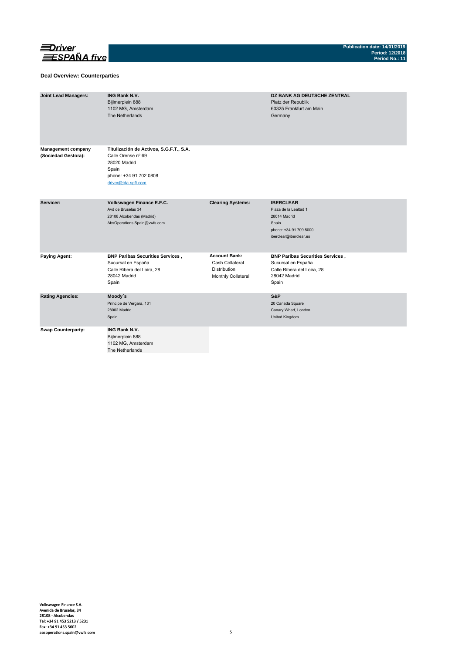

### **Deal Overview: Counterparties**

| <b>Joint Lead Managers:</b>                      | <b>ING Bank N.V.</b><br>Bijlmerplein 888<br>1102 MG, Amsterdam<br>The Netherlands                                                       |                                                                               | <b>DZ BANK AG DEUTSCHE ZENTRAL</b><br>Platz der Republik<br>60325 Frankfurt am Main<br>Germany                         |
|--------------------------------------------------|-----------------------------------------------------------------------------------------------------------------------------------------|-------------------------------------------------------------------------------|------------------------------------------------------------------------------------------------------------------------|
| <b>Management company</b><br>(Sociedad Gestora): | Titulización de Activos, S.G.F.T., S.A.<br>Calle Orense nº 69<br>28020 Madrid<br>Spain<br>phone: +34 91 702 0808<br>driver@tda-sqft.com |                                                                               |                                                                                                                        |
| Servicer:                                        | Volkswagen Finance E.F.C.<br>Avd de Bruselas 34<br>28108 Alcobendas (Madrid)<br>AbsOperations.Spain@vwfs.com                            | <b>Clearing Systems:</b>                                                      | <b>IBERCLEAR</b><br>Plaza de la Lealtad 1<br>28014 Madrid<br>Spain<br>phone: +34 91 709 5000<br>iberclear@iberclear.es |
| <b>Paying Agent:</b>                             | <b>BNP Paribas Securities Services,</b><br>Sucursal en España<br>Calle Ribera del Loira, 28<br>28042 Madrid<br>Spain                    | <b>Account Bank:</b><br>Cash Collateral<br>Distribution<br>Monthly Collateral | <b>BNP Paribas Securities Services,</b><br>Sucursal en España<br>Calle Ribera del Loira, 28<br>28042 Madrid<br>Spain   |
| <b>Rating Agencies:</b>                          | Moody's<br>Príncipe de Vergara, 131<br>28002 Madrid<br>Spain                                                                            |                                                                               | S&P<br>20 Canada Square<br>Canary Wharf, London<br>United Kingdom                                                      |
| <b>Swap Counterparty:</b>                        | <b>ING Bank N.V.</b><br>Bijlmerplein 888<br>1102 MG, Amsterdam<br>The Netherlands                                                       |                                                                               |                                                                                                                        |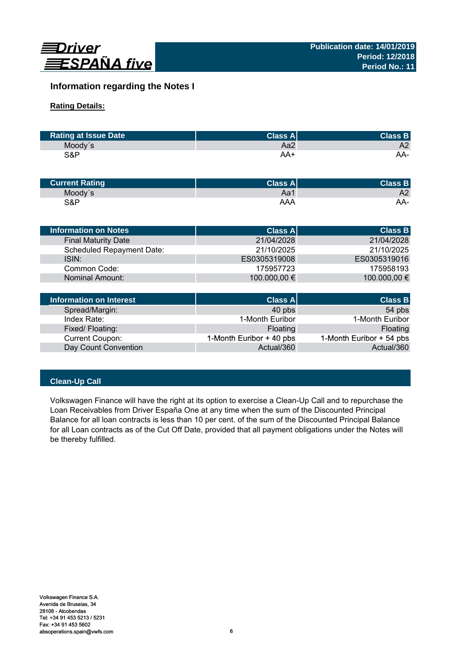

# **Information regarding the Notes I**

# **Rating Details:**

| <b>Rating at Issue Date</b> | <b>Class Al</b> | <b>Class B</b> |
|-----------------------------|-----------------|----------------|
| Moody's                     | Aa2             | A2             |
| S&P                         | AA+             | AA-            |

| <b>Current Rating</b> | Class $A^{\parallel}$ | <b>Class B</b> |
|-----------------------|-----------------------|----------------|
| Moody's               | Aa1                   | A2             |
| S&P                   | AAA                   | AA-            |

| <b>Information on Notes</b>      | <b>Class A</b> | <b>Class B</b> |
|----------------------------------|----------------|----------------|
| <b>Final Maturity Date</b>       | 21/04/2028     | 21/04/2028     |
| <b>Scheduled Repayment Date:</b> | 21/10/2025     | 21/10/2025     |
| ISIN:                            | ES0305319008   | ES0305319016   |
| Common Code:                     | 175957723      | 175958193      |
| Nominal Amount:                  | 100.000,00 €   | 100.000,00 €   |
|                                  |                |                |
| Information on Interest          | Class Al       | <b>Class B</b> |

| Information on Interest | <b>Class A</b>           | <b>Class B</b>           |
|-------------------------|--------------------------|--------------------------|
| Spread/Margin:          | 40 pbs                   | 54 pbs                   |
| Index Rate:             | 1-Month Euribor          | 1-Month Euribor          |
| Fixed/Floating:         | Floating                 | Floating                 |
| <b>Current Coupon:</b>  | 1-Month Euribor + 40 pbs | 1-Month Euribor + 54 pbs |
| Day Count Convention    | Actual/360               | Actual/360               |

# **Clean-Up Call**

Volkswagen Finance will have the right at its option to exercise a Clean-Up Call and to repurchase the Loan Receivables from Driver España One at any time when the sum of the Discounted Principal Balance for all loan contracts is less than 10 per cent. of the sum of the Discounted Principal Balance for all Loan contracts as of the Cut Off Date, provided that all payment obligations under the Notes will be thereby fulfilled.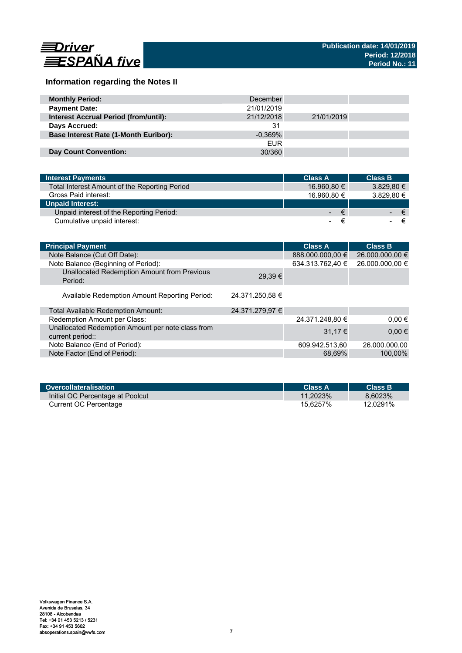

# **Information regarding the Notes II**

| <b>Monthly Period:</b>                       | December   |            |  |
|----------------------------------------------|------------|------------|--|
| <b>Payment Date:</b>                         | 21/01/2019 |            |  |
| <b>Interest Accrual Period (from/until):</b> | 21/12/2018 | 21/01/2019 |  |
| Days Accrued:                                | 31         |            |  |
| <b>Base Interest Rate (1-Month Euribor):</b> | $-0.369\%$ |            |  |
|                                              | <b>EUR</b> |            |  |
| <b>Day Count Convention:</b>                 | 30/360     |            |  |

| <b>Interest Payments</b>                      | <b>Class A</b> | <b>Class B</b> |
|-----------------------------------------------|----------------|----------------|
| Total Interest Amount of the Reporting Period | 16.960,80 €    | $3.829.80 \in$ |
| Gross Paid interest:                          | 16.960.80 €    | 3.829.80 €     |
| <b>Unpaid Interest:</b>                       |                |                |
| Unpaid interest of the Reporting Period:      | €<br><b>A</b>  | $\epsilon$     |
| Cumulative unpaid interest:                   |                |                |

| <b>Principal Payment</b>                                              |                 | <b>Class A</b>   | <b>Class B</b>  |
|-----------------------------------------------------------------------|-----------------|------------------|-----------------|
| Note Balance (Cut Off Date):                                          |                 | 888.000.000,00 € | 26.000.000,00 € |
| Note Balance (Beginning of Period):                                   |                 | 634.313.762,40 € | 26.000.000,00 € |
| Unallocated Redemption Amount from Previous<br>Period:                | 29.39€          |                  |                 |
| Available Redemption Amount Reporting Period:                         | 24.371.250,58 € |                  |                 |
| Total Available Redemption Amount:                                    | 24.371.279,97 € |                  |                 |
| Redemption Amount per Class:                                          |                 | 24.371.248,80 €  | $0.00 \in$      |
| Unallocated Redemption Amount per note class from<br>current period:: |                 | $31.17 \in$      | $0,00 \in$      |
| Note Balance (End of Period):                                         |                 | 609.942.513,60   | 26.000.000.00   |
| Note Factor (End of Period):                                          |                 | 68.69%           | 100.00%         |

| Overcollateralisation            | Class A     | <b>Class B</b> |
|----------------------------------|-------------|----------------|
| Initial OC Percentage at Poolcut | $11.2023\%$ | 8.6023%        |
| Current OC Percentage            | 15.6257%    | 12.0291%       |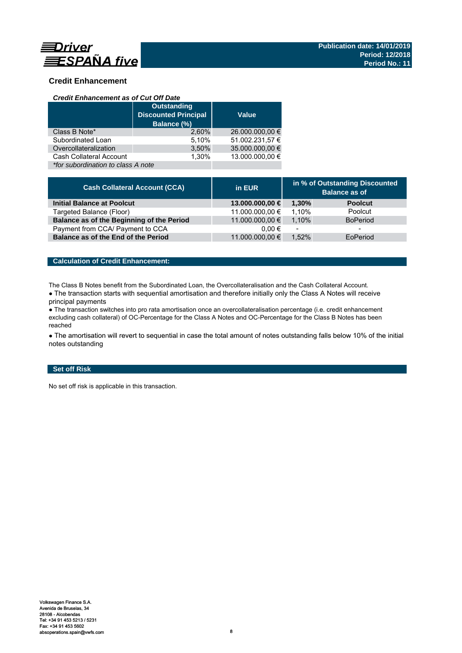

# **Credit Enhancement**

### *Credit Enhancement as of Cut Off Date*

|                                    | <b>Outstanding</b><br><b>Discounted Principal</b><br>Balance (%) | <b>Value</b>    |
|------------------------------------|------------------------------------------------------------------|-----------------|
| Class B Note*                      | 2.60%                                                            | 26.000.000,00 € |
| Subordinated Loan                  | 5,10%                                                            | 51.002.231,57 € |
| Overcollateralization              | 3,50%                                                            | 35.000.000,00 € |
| Cash Collateral Account            | 1.30%                                                            | 13.000.000.00 € |
| *for subordination to class A note |                                                                  |                 |

| <b>Cash Collateral Account (CCA)</b>      | in EUR          | in % of Outstanding Discounted<br><b>Balance as of</b> |                 |
|-------------------------------------------|-----------------|--------------------------------------------------------|-----------------|
| <b>Initial Balance at Poolcut</b>         | 13.000.000,00 € | 1.30%                                                  | <b>Poolcut</b>  |
| Targeted Balance (Floor)                  | 11.000.000,00 € | 1.10%                                                  | Poolcut         |
| Balance as of the Beginning of the Period | 11.000.000,00 € | 1.10%                                                  | <b>BoPeriod</b> |
| Payment from CCA/ Payment to CCA          | $0.00 \in$      | $\overline{\phantom{a}}$                               | -               |
| Balance as of the End of the Period       | 11.000.000,00 € | 1.52%                                                  | EoPeriod        |

## **Calculation of Credit Enhancement:**

The Class B Notes benefit from the Subordinated Loan, the Overcollateralisation and the Cash Collateral Account.

• The transaction starts with sequential amortisation and therefore initially only the Class A Notes will receive principal payments

● The transaction switches into pro rata amortisation once an overcollateralisation percentage (i.e. credit enhancement excluding cash collateral) of OC-Percentage for the Class A Notes and OC-Percentage for the Class B Notes has been reached

• The amortisation will revert to sequential in case the total amount of notes outstanding falls below 10% of the initial notes outstanding

## **Set off Risk**

No set off risk is applicable in this transaction.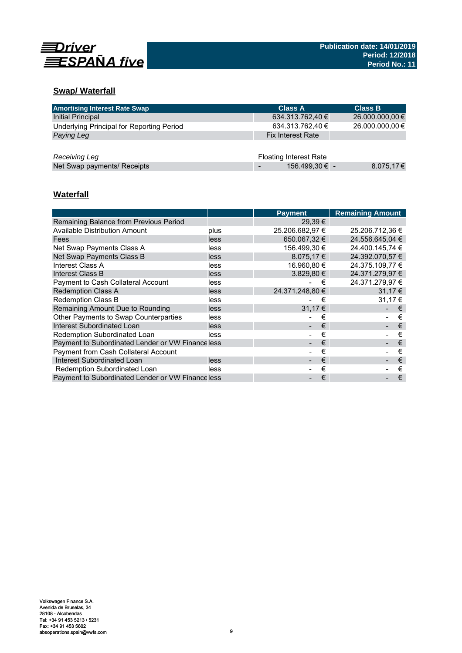

# **Swap/ Waterfall**

| <b>Amortising Interest Rate Swap</b>      | <b>Class A</b>                | <b>Class B</b>  |
|-------------------------------------------|-------------------------------|-----------------|
| Initial Principal                         | 634.313.762,40 €              | 26.000.000,00 € |
| Underlying Principal for Reporting Period | 634.313.762,40 €              | 26.000.000,00 € |
| Paying Leg                                | <b>Fix Interest Rate</b>      |                 |
|                                           |                               |                 |
| Receiving Leg                             | <b>Floating Interest Rate</b> |                 |
| Net Swap payments/ Receipts               | 156.499,30 € -                | 8.075,17€       |

# **Waterfall**

|                                                  |      | <b>Payment</b>      | <b>Remaining Amount</b> |
|--------------------------------------------------|------|---------------------|-------------------------|
| Remaining Balance from Previous Period           |      | $29.39 \in$         |                         |
| Available Distribution Amount                    | plus | 25.206.682,97 €     | 25.206.712,36 €         |
| Fees                                             | less | 650,067,32 €        | 24.556.645.04 €         |
| Net Swap Payments Class A                        | less | 156.499,30 €        | 24.400.145,74 €         |
| Net Swap Payments Class B                        | less | 8.075,17 $\epsilon$ | 24.392.070,57 €         |
| Interest Class A                                 | less | 16.960,80 €         | 24.375.109,77 €         |
| Interest Class B                                 | less | $3.829, 80 \in$     | 24.371.279,97 €         |
| Payment to Cash Collateral Account               | less | €                   | 24.371.279,97 €         |
| <b>Redemption Class A</b>                        | less | 24.371.248.80 €     | 31.17 €                 |
| <b>Redemption Class B</b>                        | less | €                   | 31.17 €                 |
| Remaining Amount Due to Rounding                 | less | 31,17€              | €                       |
| Other Payments to Swap Counterparties            | less | €                   | €                       |
| Interest Subordinated Loan                       | less | €                   | €                       |
| Redemption Subordinated Loan                     | less | €                   | €                       |
| Payment to Subordinated Lender or VW Financeless |      | €                   | €                       |
| Payment from Cash Collateral Account             |      | €                   | €                       |
| Interest Subordinated Loan                       | less | €                   | €                       |
| Redemption Subordinated Loan                     | less | €                   | €                       |
| Payment to Subordinated Lender or VW Financeless |      | €                   | €                       |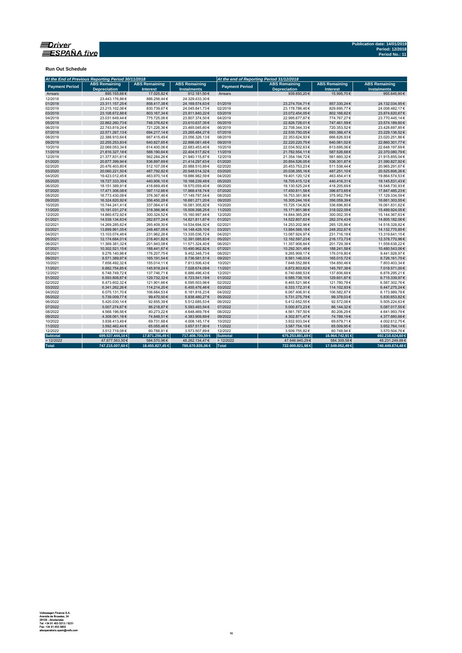

**Run Out Schedule**

|                       | At the End of Previous Reporting Period 30/11/2018 |                                         |                                            | At the end of Reporting Period 31/12/2018 |                                             |                                         |                                            |  |  |
|-----------------------|----------------------------------------------------|-----------------------------------------|--------------------------------------------|-------------------------------------------|---------------------------------------------|-----------------------------------------|--------------------------------------------|--|--|
| <b>Payment Period</b> | <b>ABS Remaining</b><br><b>Depreciation</b>        | <b>ABS Remaining</b><br><b>Interest</b> | <b>ABS Remaining</b><br><b>Instalments</b> | <b>Payment Period</b>                     | <b>ABS Remaining</b><br><b>Depreciation</b> | <b>ABS Remaining</b><br><b>Interest</b> | <b>ABS Remaining</b><br><b>Instalments</b> |  |  |
| Arrears               | 895.155.68€                                        | 17.025.82€                              | 912.181.50€                                | Arrears                                   | 939.650.20€                                 | 15.995.70€                              | 955.645.90€                                |  |  |
| 12/2018               | 23.443.176.86€                                     | 886.256.44€                             | 24.329.433.30€                             |                                           |                                             |                                         |                                            |  |  |
| 01/2019               | 23.311.157,25€                                     | 858.417,38€                             | 24.169.574,63€                             | 01/2019                                   | 23.274.704,71€                              | 857.330,24€                             | 24.132.034,95€                             |  |  |
| 02/2019               | 23.215.102,06€                                     | 830.739,67€                             | 24.045.841,73€                             | 02/2019                                   | 23.178.786,40€                              | 829.695,77€                             | 24.008.482,17€                             |  |  |
| 03/2019               | 23.108.672,88€                                     | 803.167,34€                             | 23.911.840,22€                             | 03/2019                                   | 23.072.454,05€                              | 802.166,62€                             | 23.874.620,67€                             |  |  |
| 04/2019               | 23.031.649,44€                                     | 775.725,06€                             | 23.807.374,50€                             | 04/2019                                   | 22.995.677,87€                              | 774.767,27€                             | 23.770.445,14€                             |  |  |
| 05/2019               | 22.862.260.73€                                     | 748.376,62€                             | 23.610.637,35€                             | 05/2019                                   | 22.826.728,01€                              | 747.461,59€                             | 23.574.189,60€                             |  |  |
| 06/2019               | 22.743.819,24€                                     | 721.226,36€                             | 23.465.045,60€                             | 06/2019                                   | 22.708.344,33€                              | 720.353,52€                             | 23.428.697,85€                             |  |  |
| 07/2019               | 22.571.267,13€                                     | 694.217,14€                             | 23.265.484,27€                             | 07/2019                                   | 22.535.750,05€                              | 693.386,47€                             | 23.229.136,52€                             |  |  |
| 08/2019               | 22.388.910,64€                                     | 667.415,49€                             | 23.056.326,13€                             | 08/2019                                   | 22.353.624,93€                              | 666.626,93€                             | 23.020.251,86€                             |  |  |
| 09/2019               | 22.255.253,83€                                     | 640.827,65€                             | 22.896.081,48€                             | 09/2019                                   | 22.220.220,75€                              | 640.081,02€                             | 22.860.301,77€                             |  |  |
| 10/2019               | 22.069.053.34 €                                    | 614.400.06€                             | 22.683.453,40€                             | 10/2019                                   | 22.034.502.63€                              | 613.695,06€                             | 22.648.197.69€                             |  |  |
| 11/2019               | 21.816.327,18€                                     | 588.190,64€                             | 22.404.517,82€                             | 11/2019                                   | 21.782.554,11€                              | 587.526,68€                             | 22.370.080,79€                             |  |  |
| 12/2019               | 21.377.831,61€                                     | 562.284,26€                             | 21.940.115,87€                             | 12/2019                                   | 21.354.194,72€                              | 561.660,32€                             | 21.915.855,04€                             |  |  |
| 01/2020               | 20.877.399.94€                                     | 536.897.69€                             | 21.414.297,63€                             | 01/2020                                   | 20.854.526.05€                              | 536.301.87€                             | 21.390.827,92€                             |  |  |
| 02/2020               | 20.476.403,80€                                     | 512.107,09€                             | 20.988.510,89€                             | 02/2020                                   | 20.453.753,23€                              | 511.538,44 €                            | 20.965.291,67€                             |  |  |
| 03/2020               | 20.060.221,50€                                     | 487.792,82€                             | 20.548.014,32€                             | 03/2020                                   | 20.038.355,16€                              | 487.251,10€                             | 20.525.606,26€                             |  |  |
| 04/2020               | 19.423.012.45€                                     | 463.970,14€                             | 19.886.982,59€                             | 04/2020                                   | 19.401.120,12€                              | 463.454,41€                             | 19.864.574,53€                             |  |  |
| 05/2020               | 18.727.333,39€                                     | 440.906,10€                             | 19.168.239,49€                             | 05/2020                                   | 18.705.415,12€                              | 440.416,31€                             | 19.145.831,43€                             |  |  |
| 06/2020               | 18.151.389,91€                                     | 418.669,49€                             | 18.570.059,40€                             | 06/2020                                   | 18.130.525,24€                              | 418.205,69€                             | 18.548.730,93€                             |  |  |
| 07/2020               | 17.471.306.08€                                     | 397.112,66€                             | 17.868.418,74€                             | 07/2020                                   | 17.450.811,58€                              | 396.673.65€                             | 17.847.485,23€                             |  |  |
| 08/2020               | 16.773.430,08€                                     | 376.367,46€                             | 17.149.797,54€                             | 08/2020                                   | 16.753.381,80€                              | 375.952,79€                             | 17.129.334,59€                             |  |  |
| 09/2020               | 16.324.820,92€                                     | 356.450,28€                             | 16.681.271,20€                             | 09/2020                                   | 16.305.244,16€                              | 356.059,39€                             | 16.661.303,55€                             |  |  |
| 10/2020               | 15.744.241.41€                                     | 337.064,41€                             | 16.081.305,82€                             | 10/2020                                   | 15.725.134,82€                              | 336.696.80€                             | 16.061.831,62€                             |  |  |
| 11/2020               | 15.191.031,27€                                     | 318.366,98€                             | 15.509.398,25€                             | 11/2020                                   | 15.171.901,96€                              | 318.022,09€                             | 15.489.924,05€                             |  |  |
| 12/2020               | 14.860.672.92€                                     | 300.324.52€                             | 15.160.997.44€                             | 12/2020                                   | 14.844.365.28€                              | 300.002.35€                             | 15.144.367,63€                             |  |  |
| 01/2021               | 14.539.134,63€                                     | 282.677,24€                             | 14.821.811,87€                             | 01/2021                                   | 14.522.807,63€                              | 282.374,43€                             | 14.805.182,06€                             |  |  |
| 02/2021               | 14.269.285,62€                                     | 265.409,30 €                            | 14.534.694,92€                             | 02/2021                                   | 14.253.202,96€                              | 265.125,86€                             | 14.518.328,82€                             |  |  |
| 03/2021               | 13.899.961.05€                                     | 248.467.05€                             | 14.148.428.10€                             | 03/2021                                   | 13.884.568,18€                              | 248.202,67€                             | 14.132.770,85€                             |  |  |
| 04/2021               | 13.103.074.46€                                     | 231.962,26€                             | 13.335.036,72€                             | 04/2021                                   | 13.087.924,97€                              | 231.716,18€                             | 13.319.641,15€                             |  |  |
| 05/2021               | 12.174.684,01€                                     | 216.401,82€                             | 12.391.085,83€                             | 05/2021                                   | 12.162.597,23€                              | 216.173,73€                             | 12.378.770,96€                             |  |  |
| 06/2021               | 11.369.381,32€                                     | 201.943,08€                             | 11.571.324,40€                             | 06/2021                                   | 11.357.908,84€                              | 201.729,38€                             | 11.559.638,22€                             |  |  |
| 07/2021               | 10.302.521,15€                                     | 188.441,67€                             | 10.490.962,82€                             | 07/2021                                   | 10.292.301,48€                              | 188.241,58€                             | 10.480.543,06€                             |  |  |
| 08/2021               | 9.276.140,98€                                      | 176.207,75€                             | 9.452.348,73€                              | 08/2021                                   | 9.265.909,17€                               | 176.019,80€                             | 9.441.928,97€                              |  |  |
| 09/2021               | 8.571.389.97€                                      | 165.191,54€                             | 8.736.581,51€                              | 09/2021                                   | 8.561.146,03€                               | 165.015,72€                             | 8.726.161,75€                              |  |  |
| 10/2021               | 7.658.492,32€                                      | 155.014,11€                             | 7.813.506,43€                              | 10/2021                                   | 7.648.552,88€                               | 154.850,46€                             | 7.803.403,34 €                             |  |  |
| 11/2021               | 6.882.754,85€                                      | 145.919,24€                             | 7.028.674,09€                              | 11/2021                                   | 6.872.803,62€                               | 145.767,38€                             | 7.018.571,00€                              |  |  |
| 12/2021               | 6.748.749,72€                                      | 137.746,71€                             | 6.886.496,43€                              | 12/2021                                   | 6.740.688,53€                               | 137.606,68€                             | 6.878.295,21€                              |  |  |
| 01/2022               | 6.593.808,87€                                      | 129.732,32€                             | 6.723.541,19€                              | 01/2022                                   | 6.585.738,10€                               | 129.601,87€                             | 6.715.339,97€                              |  |  |
| 02/2022               | 6.473.602.32€                                      | 121.901.66€                             | 6.595.503.98€                              | 02/2022                                   | 6.465.521.98€                               | 121.780.78€                             | 6.587.302.76€                              |  |  |
| 03/2022               | 6.341.262,26€                                      | 114.214,20€                             | 6.455.476,46€                              | 03/2022                                   | 6.333.172,31€                               | 114.102,93€                             | 6.447.275,24€                              |  |  |
| 04/2022               | 6.075.131,70€                                      | 106.684,53€                             | 6.181.816,23€                              | 04/2022                                   | 6.067.406,91€                               | 106.582,87€                             | 6.173.989,78€                              |  |  |
| 05/2022               | 5.739.009,77€                                      | 99.470,50€                              | 5.838.480,27€                              | 05/2022                                   | 5.731.275,79€                               | 99.378,03€                              | 5.830.653,82€                              |  |  |
| 06/2022               | 5.420.030,14€                                      | 92.655,39€                              | 5.512.685,53€                              | 06/2022                                   | 5.412.652,55€                               | 92.572,08€                              | 5.505.224,63€                              |  |  |
| 07/2022               | 5.007.274,67€                                      | 86.218,87€                              | 5.093.493,54 €                             | 07/2022                                   | 5.000.873,23€                               | 86.144,32€                              | 5.087.017,55€                              |  |  |
| 08/2022               | 4.568.196,56€                                      | 80.273,22€                              | 4.648.469,78€                              | 08/2022                                   | 4.561.787,50€                               | 80.206,29€                              | 4.641.993,79€                              |  |  |
| 09/2022               | 4.309.061,18€                                      | 74.848,51€                              | 4.383.909,69€                              | 09/2022                                   | 4.302.871,47€                               | 74.789,19€                              | 4.377.660,66€                              |  |  |
| 10/2022               | 3.938.413,49€                                      | 69.731,68€                              | 4.008.145,17€                              | 10/2022                                   | 3.932.933,04€                               | 69.679,71€                              | 4.002.612,75€                              |  |  |
| 11/2022               | 3.592.462.44€                                      | 65.055.46€                              | 3.657.517.90 €                             | 11/2022                                   | 3.587.754.19€                               | 65.009.95€                              | 3.652.764.14€                              |  |  |
| 12/2022               | 3.512.719,08€                                      | 60.788,81€                              | 3.573.507,89€                              | 12/2022                                   | 3.509.755,82€                               | 60.748,94€                              | 3.570.504,76€                              |  |  |
| <b>Subtotal</b>       | 699.537.444,10€                                    | 17.871.256,49 €                         | 717.408.700,59 €                           | <b>Subtotal</b>                           | 675.253.881,69 €                            | 16.964.742,91 €                         | 692.218.624,60€                            |  |  |
| >12/2022              | 47.677.563,50€                                     | 584.570,96€                             | 48.262.134,47€                             | >12/2022                                  | 47.646.940,29€                              | 584.309,58€                             | 48.231.249,88€                             |  |  |
| <b>Total</b>          | 747.215.007,60 €                                   | 18.455.827,45 €                         | 765.670.835,06 €                           | Total                                     | 722.900.821,98 €                            | 17.549.052,49€                          | 740.449.874,48€                            |  |  |
|                       |                                                    |                                         |                                            |                                           |                                             |                                         |                                            |  |  |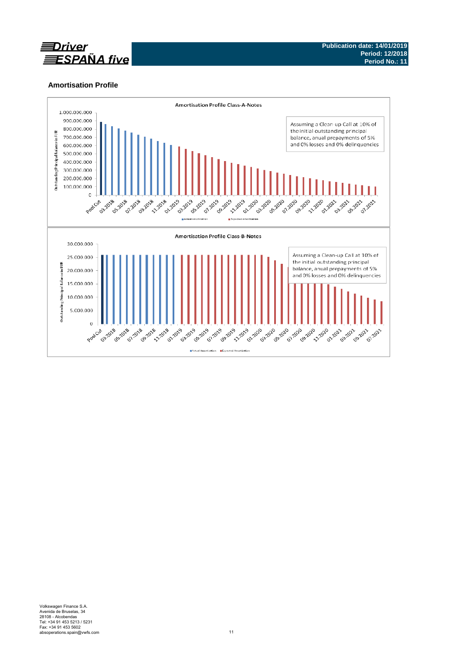

## **Amortisation Profile**

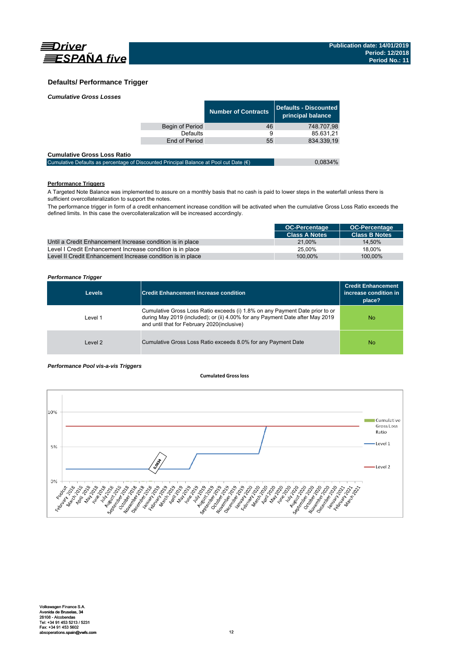

## **Defaults/ Performance Trigger**

| <b>Cumulative Gross Losses</b> |  |
|--------------------------------|--|
|                                |  |

|                 | <b>Number of Contracts</b> | Defaults - Discounted<br>principal balance |
|-----------------|----------------------------|--------------------------------------------|
| Begin of Period | 46                         | 748.707.98                                 |
| <b>Defaults</b> | 9                          | 85.631,21                                  |
| End of Period   | 55                         | 834.339.19                                 |
|                 |                            |                                            |

### **Cumulative Gross Loss Ratio**

| Cumulative Defaults as percentage of Discounted Principal Balance at Pool cut Date $(\epsilon)$ | 0.0834% |
|-------------------------------------------------------------------------------------------------|---------|
|                                                                                                 |         |

## **Performance Triggers**

A Targeted Note Balance was implemented to assure on a monthly basis that no cash is paid to lower steps in the waterfall unless there is sufficient overcollateralization to support the notes.

The performance trigger in form of a credit enhancement increase condition will be activated when the cumulative Gross Loss Ratio exceeds the defined limits. In this case the overcollateralization will be increased accordingly.

|                                                            | <b>OC-Percentage</b> | <b>OC-Percentage</b> |
|------------------------------------------------------------|----------------------|----------------------|
|                                                            | <b>Class A Notes</b> | <b>Class B Notes</b> |
| Until a Credit Enhancement Increase condition is in place  | 21.00%               | 14.50%               |
| Level I Credit Enhancement Increase condition is in place  | 25.00%               | 18.00%               |
| Level II Credit Enhancement Increase condition is in place | 100.00%              | 100.00%              |

### *Performance Trigger*

| <b>Levels</b> | Credit Enhancement increase condition                                                                                                                                                                        | <b>Credit Enhancement</b><br>increase condition in<br>place? |
|---------------|--------------------------------------------------------------------------------------------------------------------------------------------------------------------------------------------------------------|--------------------------------------------------------------|
| Level 1       | Cumulative Gross Loss Ratio exceeds (i) 1.8% on any Payment Date prior to or<br>during May 2019 (included); or (ii) 4.00% for any Payment Date after May 2019<br>and until that for February 2020(inclusive) | No.                                                          |
| Level 2       | Cumulative Gross Loss Ratio exceeds 8.0% for any Payment Date                                                                                                                                                | No.                                                          |

### *Performance Pool vis-a-vis Triggers*

#### **Cumulated Grossloss**

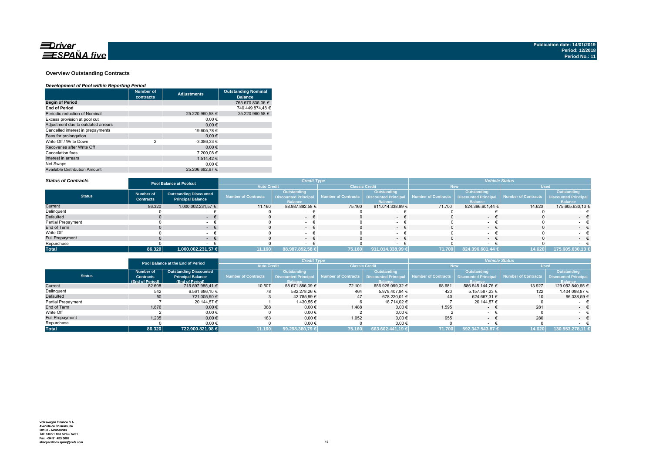

#### **Overview Outstanding Contracts**

#### *Development of Pool within Reporting Period*

|                                      | <b>Number of</b><br>contracts | <b>Adjustments</b> | <b>Outstanding Nominal</b><br><b>Balance</b> |
|--------------------------------------|-------------------------------|--------------------|----------------------------------------------|
| <b>Begin of Period</b>               |                               |                    | 765.670.835.06 €                             |
| <b>End of Period</b>                 |                               |                    | 740.449.874.48 €                             |
| Periodic reduction of Nominal        |                               | 25.220.960.58 €    | 25.220.960.58 €                              |
| Excess provision at pool cut         |                               | 0.00€              |                                              |
| Adjustment due to outdated arrears   |                               | 0.00€              |                                              |
| Cancelled interest in prepayments    |                               | -19.605,78 €       |                                              |
| Fees for prolongation                |                               | 0.00€              |                                              |
| Write Off / Write Down               | $\overline{2}$                | $-3.386,33 \in$    |                                              |
| Recoveries after Write Off           |                               | 0.00€              |                                              |
| Cancelation fees                     |                               | 7.200.08 €         |                                              |
| Interest in arrears                  |                               | 1.514.42 €         |                                              |
| Net Swaps                            |                               | 0.00€              |                                              |
| <b>Available Distribution Amount</b> |                               | 25.206.682.97 €    |                                              |

#### *Status of Contracts*

| <b>Status of Contracts</b> |                                      | <b>Pool Balance at Poolcut</b>                            | <b>Credit Type</b>         |                                                                     |                       | <b>Vehicle Status</b>                                               |                                            |                               |                     |                                                             |
|----------------------------|--------------------------------------|-----------------------------------------------------------|----------------------------|---------------------------------------------------------------------|-----------------------|---------------------------------------------------------------------|--------------------------------------------|-------------------------------|---------------------|-------------------------------------------------------------|
|                            |                                      |                                                           | <b>Auto Credit</b>         |                                                                     | <b>Classic Credit</b> |                                                                     | <b>New</b>                                 |                               | <b>Used</b>         |                                                             |
| <b>Status</b>              | <b>Number of</b><br><b>Contracts</b> | <b>Outstanding Discounted</b><br><b>Principal Balance</b> | <b>Number of Contracts</b> | <b>Outstanding</b><br><b>Discounted Principal</b><br><b>Balance</b> | Number of Contracts   | <b>Outstanding</b><br><b>Discounted Principal</b><br><b>Balance</b> | Number of Contracts   Discounted Principal | Outstanding<br><b>Balance</b> | Number of Contracts | Outstanding<br><b>Discounted Principa</b><br><b>Balance</b> |
| Current                    | 86.320                               | 1.000.002.231,57 €                                        | 11.160                     | 88.987.892,58 €                                                     | 75.160                | 911.014.338,99 €                                                    | 71.700                                     | 824.396.601.44 €              | 14.620              | 175.605.630,13 €                                            |
| Delinquent                 |                                      |                                                           |                            |                                                                     |                       |                                                                     |                                            |                               |                     |                                                             |
| <b>Defaulted</b>           |                                      |                                                           |                            | $ \epsilon$                                                         |                       | $\sim$                                                              |                                            | $\sim$                        |                     | $-$                                                         |
| Partial Prepayment         |                                      |                                                           |                            |                                                                     |                       |                                                                     |                                            |                               |                     |                                                             |
| End of Term                |                                      | $\sim$                                                    |                            | $ \epsilon$                                                         |                       | $\sim$                                                              |                                            | $\sim$ $\sim$                 |                     | $ \neq$                                                     |
| Write Off                  |                                      |                                                           |                            | $\sim$                                                              |                       |                                                                     |                                            |                               |                     | $\sim$                                                      |
| <b>Full Prepayment</b>     |                                      |                                                           |                            | $ +$                                                                |                       | $\sim$                                                              |                                            | $\sim$                        |                     | $\sim$                                                      |
| Repurchase                 |                                      |                                                           |                            |                                                                     |                       |                                                                     |                                            |                               |                     |                                                             |
| <b>Total</b>               | 86.320                               | 1.000.002.231,57 €                                        | 11.160                     | 88.987.892,58 €                                                     | 75.160                | 911.014.338,99 €                                                    | 71.700                                     | 824.396.601,44 €              | 14.620              | 175.605.630,13 €                                            |

|                        | Pool Balance at the End of Period |                               | <b>Credit Type</b>  |                             |                                            |                  | <b>Vehicle Status</b> |                    |                                                 |                             |
|------------------------|-----------------------------------|-------------------------------|---------------------|-----------------------------|--------------------------------------------|------------------|-----------------------|--------------------|-------------------------------------------------|-----------------------------|
|                        |                                   |                               | <b>Auto Credit</b>  |                             | <b>Classic Credit</b>                      |                  | New                   |                    | <b>Used</b>                                     |                             |
|                        | <b>Number of</b>                  | <b>Outstanding Discounted</b> |                     | Outstanding                 |                                            | Outstanding      |                       | <b>Outstanding</b> |                                                 | Outstanding                 |
| <b>Status</b>          | <b>Contracts</b>                  | <b>Principal Balance</b>      | Number of Contracts | <b>Discounted Principal</b> | Number of Contracts   Discounted Principal |                  | Number of Contracts   |                    | <b>Discounted Principal Number of Contracts</b> | <b>Discounted Principal</b> |
|                        | (End of Period)                   | (End of Period)               |                     | <b>Balance</b>              |                                            | <b>Balance</b>   |                       | <b>Ralance</b>     |                                                 | <b>Balance</b>              |
| Current                | 82.608                            | 715.597.985.41 €              | 10.507              | 58.671.886.09 €             | 72.101                                     | 656.926.099.32 € | 68.681                | 586.545.144.76 €   | 13.927                                          | 129.052.840.65 €            |
| Delinquent             | 542                               | 6.561.686.10 €                | 78                  | 582.278.26 €                | 464                                        | 5.979.407.84 €   | 420                   | 5.157.587.23 €     | 122                                             | 1.404.098.87 €              |
| Defaulted              | 50 <sup>1</sup>                   | 721.005.90 €                  |                     | 42.785.89 €                 | 47                                         | 678.220.01 €     | 40                    | 624.667.31 €       | 10                                              | 96.338.59 €                 |
| Partial Prepayment     |                                   | 20.144.57 €                   |                     | 1.430,55 €                  |                                            | 18.714.02 €      |                       | 20.144.57 €        |                                                 |                             |
| End of Term            | 1.876                             | $0.00 \in$                    | 388                 | $0.00 \in$                  | 1.488                                      | $0.00 \in$       | 1.595                 | $\sim$             | 281                                             | $ \epsilon$                 |
| Write Off              |                                   | $0.00 \in$                    |                     | $0,00 \in$                  |                                            | $0,00$ €         |                       |                    |                                                 |                             |
| <b>Full Prepayment</b> | 1.235                             | $0.00 \in$                    | 183                 | $0.00 \in$                  | 1.052                                      | $0.00 \in$       | 955                   | $\sim$             | 280                                             | $ \epsilon$                 |
| Repurchase             |                                   | 0,00€                         |                     | 0,00€                       |                                            | $0,00 \in$       |                       |                    |                                                 |                             |
| <b>Total</b>           | 86.320                            | 722.900.821.98 €              | 11.160              | 59.298.380.79 €             | 75.160                                     | 663.602.441.19 € | 71.700                | 592.347.543.87 €   | 14.620                                          | 130.553.278.11 €            |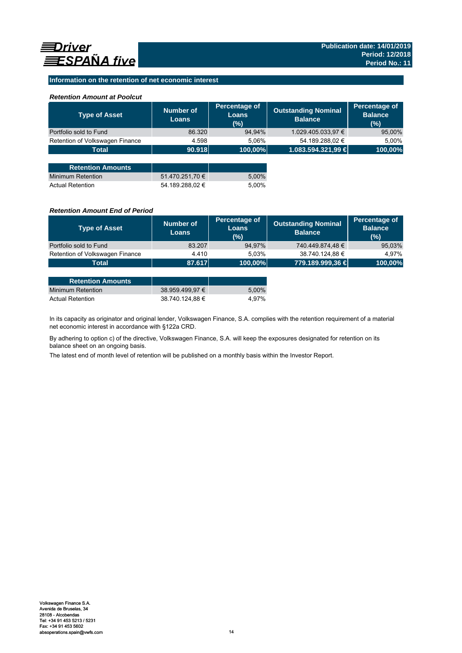## **Information on the retention of net economic interest**

### *Retention Amount at Poolcut*

| <b>Type of Asset</b>            | <b>Number of</b><br><b>Loans</b> | Percentage of<br><b>Loans</b><br>(%) | <b>Outstanding Nominal</b><br><b>Balance</b> | Percentage of<br><b>Balance</b><br>(% ) |
|---------------------------------|----------------------------------|--------------------------------------|----------------------------------------------|-----------------------------------------|
| Portfolio sold to Fund          | 86.320                           | 94,94%                               | 1.029.405.033,97 €                           | 95,00%                                  |
| Retention of Volkswagen Finance | 4.598                            | 5.06%                                | 54.189.288,02 €                              | 5.00%                                   |
| <b>Total</b>                    | 90.918                           | 100,00%                              | 1.083.594.321,99 €                           | 100,00%                                 |
|                                 |                                  |                                      |                                              |                                         |
| <b>Retention Amounts</b>        |                                  |                                      |                                              |                                         |
| Minimum Retention               | 51.470.251,70 €                  | 5,00%                                |                                              |                                         |
| <b>Actual Retention</b>         | 54.189.288.02 €                  | 5.00%                                |                                              |                                         |

### *Retention Amount End of Period*

| <b>Type of Asset</b>            | Number of<br><b>Loans</b> | Percentage of<br>Loans<br>(%) | <b>Outstanding Nominal</b><br><b>Balance</b> | Percentage of<br><b>Balance</b><br>(%) |
|---------------------------------|---------------------------|-------------------------------|----------------------------------------------|----------------------------------------|
| Portfolio sold to Fund          | 83.207                    | 94,97%                        | 740.449.874,48 €                             | 95,03%                                 |
| Retention of Volkswagen Finance | 4.410                     | 5.03%                         | 38.740.124,88 €                              | 4.97%                                  |
| Total                           | 87.617                    | $ 100,00\% $                  | 779.189.999,36 €                             | 100,00%                                |

| <b>Retention Amounts</b> |                 |       |
|--------------------------|-----------------|-------|
| Minimum Retention        | 38.959.499.97 € | 5.00% |
| <b>Actual Retention</b>  | 38.740.124.88 € | 4.97% |

In its capacity as originator and original lender, Volkswagen Finance, S.A. complies with the retention requirement of a material net economic interest in accordance with §122a CRD.

By adhering to option c) of the directive, Volkswagen Finance, S.A. will keep the exposures designated for retention on its balance sheet on an ongoing basis.

The latest end of month level of retention will be published on a monthly basis within the Investor Report.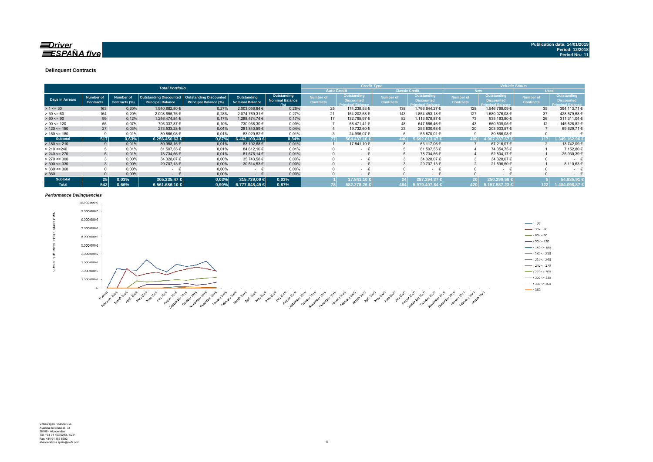### $\equiv$ Driver **ESPAÑA** five

#### **Delinquent Contracts**

|                 | <b>Total Portfolio</b>               |                                   |                                                           |                                                               |                                       |                                                      |                               | <b>Vehicle Status</b><br><b>Credit Type</b>                   |                                      |                                                                     |                               |                                                              |                                      |                                                                     |
|-----------------|--------------------------------------|-----------------------------------|-----------------------------------------------------------|---------------------------------------------------------------|---------------------------------------|------------------------------------------------------|-------------------------------|---------------------------------------------------------------|--------------------------------------|---------------------------------------------------------------------|-------------------------------|--------------------------------------------------------------|--------------------------------------|---------------------------------------------------------------------|
|                 |                                      |                                   |                                                           |                                                               |                                       |                                                      |                               | <b>Auto Credit</b>                                            | <b>Classic Credit</b>                |                                                                     | <b>New</b>                    |                                                              | <b>Used</b>                          |                                                                     |
| Days in Arrears | <b>Number of</b><br><b>Contracts</b> | <b>Number of</b><br>Contracts (%) | <b>Outstanding Discounted</b><br><b>Principal Balance</b> | <b>Outstanding Discounted</b><br><b>Principal Balance (%)</b> | Outstanding<br><b>Nominal Balance</b> | <b>Outstanding</b><br><b>Nominal Balance</b><br>19/1 | Number of<br><b>Contracts</b> | Outstanding,<br><b>Discounted</b><br><b>Principal Balance</b> | <b>Number of</b><br><b>Contracts</b> | <b>Outstanding</b><br><b>Discounted</b><br><b>Principal Balance</b> | Number of<br><b>Contracts</b> | Outstanding<br><b>Discounted</b><br><b>Principal Balance</b> | <b>Number of</b><br><b>Contracts</b> | <b>Outstanding</b><br><b>Discounted</b><br><b>Principal Balance</b> |
| $> 1 \le 30$    | 163                                  | 0,20%                             | 1.940.882,80 €                                            | 0,27%                                                         | 2.003.056.64 €                        | 0.26%                                                | 25                            | 174.238,53 €                                                  | 138                                  | 1.766.644,27 €                                                      | 128                           | 1.546.769,09 €                                               | 35                                   | 394.113,71 €                                                        |
| $> 30 \le 60$   | 164                                  | 0,20%                             | 2.008.655.76 €                                            | 0.28%                                                         | 2.074.769.31 €                        | 0,27%                                                | 21                            | 154.202,58 €                                                  | 143                                  | 1.854.453.18€                                                       | 127                           | .580.076,08 €                                                | 37                                   | 428.579,68 €                                                        |
| $> 60 \le 90$   | 99                                   | 0,12%                             | 1.246.474.84 €                                            | 0,17%                                                         | 1.288.474.74 €                        | 0,17%                                                | 17                            | 132.795,97 €                                                  | 82                                   | 1.113.678.87 €                                                      | 73                            | 935.163,80 €                                                 | 26                                   | 311.311,04 €                                                        |
| $> 90 \le 120$  | 55                                   | 0.07%                             | 706.037,87 €                                              | 0.10%                                                         | 730.938,30 €                          | 0,09%                                                |                               | 58.471.41 €                                                   | 48                                   | 647.566,46 €                                                        | 43                            | 560.509,05 €                                                 | 12                                   | 145.528,82 €                                                        |
| $> 120 \le 150$ | 27                                   | 0,03%                             | 273.533,28 €                                              | 0,04%                                                         | 281.840.59 €                          | 0,04%                                                | $\overline{4}$                | 19.732,60 €                                                   | 23                                   | 253.800,68 €                                                        | 20                            | 203.903,57 €                                                 |                                      | 69.629,71 €                                                         |
| $> 150 \le 180$ |                                      | 0.01%                             | 80.866,08 €                                               | 0,01%                                                         | 83.029,82 €                           | 0,01%                                                |                               | 24.996,07 €                                                   |                                      | 55.870,01 €                                                         |                               | 80.866,08 €                                                  |                                      | $\sim$                                                              |
| <b>Subtotal</b> | 517                                  | 0,63%                             | $6.256.450.63 \in$                                        | 0.87%                                                         | 6.462.109.40 €                        | 0,84%                                                | 771                           | 564.437.16 €                                                  | 440                                  | .692.013.47 €                                                       | 100                           | $1.907.287.67 \in$                                           | 117                                  | 1.349.162.96 €                                                      |
| $> 180 \le 210$ |                                      | 0,01%                             | 80.958,16 €                                               | 0,01%                                                         | 83.192.68 €                           | 0,01%                                                |                               | 17.841,10 €                                                   | 8                                    | 63.117,06 €                                                         |                               | 67.216,07 €                                                  |                                      | 13.742,09 €                                                         |
| > 210 < 240     |                                      | 0.01%                             | 81.507.55 €                                               | 0,01%                                                         | 84.612.16 €                           | 0,01%                                                |                               | $\sim$                                                        |                                      | 81.507,55 €                                                         |                               | 74.354.75 €                                                  |                                      | 7.152.80 €                                                          |
| $> 240 \le 270$ |                                      | 0.01%                             | 78.734,56 €                                               | 0,01%                                                         | 81.676.14 €                           | 0,01%                                                | $\Omega$                      | $ \epsilon$                                                   |                                      | 78.734,56 €                                                         |                               | 52.804,17 €                                                  |                                      | 25.930,39 €                                                         |
| $> 270 \le 300$ |                                      | 0,00%                             | 34.328,07 €                                               | 0,00%                                                         | 35.743.58 €                           | 0,00%                                                |                               | $\sim$                                                        |                                      | 34.328,07 €                                                         |                               | 34.328,07 €                                                  |                                      | $\sim$                                                              |
| $>$ 300 <= 330  |                                      | 0.00%                             | 29.707,13 €                                               | 0,00%                                                         | 30.514.53 €                           | 0.00%                                                | $\Omega$                      | $\sim$                                                        |                                      | 29.707.13 €                                                         |                               | 21.596,50 €                                                  |                                      | 8.110,63 €                                                          |
| $>$ 330 <= 360  |                                      | 0,00%                             | $\sim$                                                    | 0,00%                                                         | - €                                   | 0,00%                                                |                               | $\sim$                                                        |                                      | $\sim$                                                              |                               | ۰                                                            |                                      | $\sim$                                                              |
| > 360           |                                      | 0,00%                             | $\sim$                                                    | 0,00%                                                         | $\sim$                                | 0,00%                                                |                               | $\sim$                                                        |                                      | $ \epsilon$                                                         |                               | $ \epsilon$                                                  |                                      | $\sim$                                                              |
| <b>Subtotal</b> | 25 <sup>1</sup>                      | 0,03%                             | 305.235.47 €                                              | 0,03%                                                         | 315.739.09 €                          | 0,03%                                                |                               | 17.841.10 €                                                   |                                      | 287.394.37 €                                                        |                               | 250.299.56 €                                                 |                                      | 54.935.91                                                           |
| <b>Total</b>    | 542                                  | 0,66%                             | $6.561.686.10 \in$                                        | 0.90%                                                         | 6.777.848.49 €                        | 0.87%                                                | 78                            | 582.278.26 €                                                  | 464                                  | 5.979.407.84 €                                                      | 420                           | 5.157.587.23 €                                               | 122                                  | 1.404.098.87 €                                                      |

#### *Performance Delinquencies*

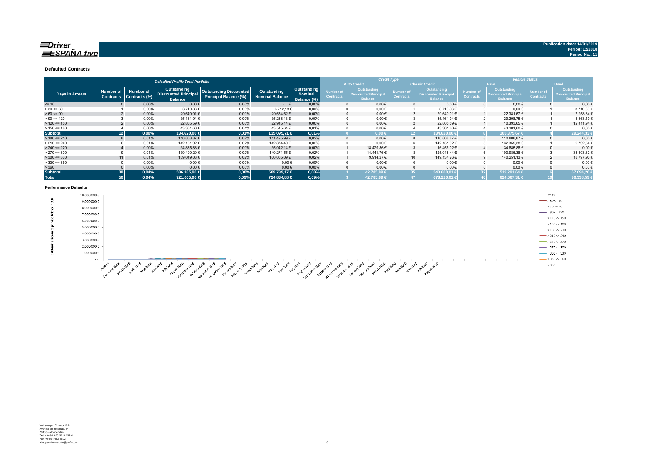### $\equiv$ Driver  $\equiv$ SPAÑA five

**Publication date: 14/01/2019 Period: 12/2018 Period No.: 11**

#### **Defaulted Contracts**

|                        |                  |                  | <b>Defaulted Profile Total Portfolio</b>      |                               |                        | <b>Credit Type</b><br><b>Vehicle Status</b> |                  |                                               |                  |                                               |                  |                                              |                  |                                               |
|------------------------|------------------|------------------|-----------------------------------------------|-------------------------------|------------------------|---------------------------------------------|------------------|-----------------------------------------------|------------------|-----------------------------------------------|------------------|----------------------------------------------|------------------|-----------------------------------------------|
|                        |                  |                  |                                               |                               |                        |                                             |                  | <b>Auto Credit</b>                            |                  | <b>Classic Credit</b>                         |                  | <b>New</b>                                   | <b>Used</b>      |                                               |
|                        | <b>Number of</b> | <b>Number of</b> | Outstanding                                   | <b>Outstanding Discounted</b> | Outstanding            | Outstanding                                 | <b>Number of</b> | Outstanding                                   | Number of        | <b>Outstanding</b>                            | <b>Number of</b> | <b>Outstanding</b>                           | Number of        | <b>Outstanding</b>                            |
| <b>Days in Arrears</b> | <b>Contracts</b> | Contracts (%)    | <b>Discounted Principal</b><br><b>Balance</b> | <b>Principal Balance (%)</b>  | <b>Nominal Balance</b> | Nominal<br>Balance (%)                      | <b>Contracts</b> | <b>Discounted Principal</b><br><b>Balance</b> | <b>Contracts</b> | <b>Discounted Principal</b><br><b>Balance</b> | <b>Contracts</b> | <b>Discounted Principa</b><br><b>Balance</b> | <b>Contracts</b> | <b>Discounted Principal</b><br><b>Balance</b> |
| $= 30$                 |                  | 0,00%            | $0,00$ €                                      | 0,00%                         | $ \epsilon$            | 0,00%                                       |                  | $0,00 \in$                                    |                  | $0,00 \in$                                    |                  | $0.00 \in$                                   |                  | $0,00 \in$                                    |
| $> 30 \le 60$          |                  | 0,00%            | 3.710,86 €                                    | 0,00%                         | 3.712,18€              | 0.00%                                       |                  | $0,00 \in$                                    |                  | 3.710,86 €                                    |                  | $0,00 \in$                                   |                  | 3.710,86€                                     |
| $> 60 \le 90$          |                  | 0,00%            | 29.640,01 €                                   | 0,00%                         | 29.654,62€             | 0.00%                                       |                  | $0.00 \in$                                    |                  | 29.640,01 €                                   |                  | 22.381,67 €                                  |                  | 7.258,34 €                                    |
| $> 90 \le 120$         |                  | 0,00%            | 35.161,94 €                                   | 0,00%                         | 35.238,13 €            | 0.00%                                       |                  | $0,00 \in$                                    |                  | 35.161,94 €                                   |                  | 29.298,75€                                   |                  | 5.863,19€                                     |
| $> 120 \le 150$        |                  | 0.00%            | 22.805,59€                                    | 0.00%                         | 22.945.14 €            | 0.00%                                       |                  | $0.00 \in$                                    |                  | 22.805,59€                                    |                  | 10.393.65 €                                  |                  | 12.411,94€                                    |
| $> 150 \le 180$        |                  | 0.00%            | 43.301.60 €                                   | 0.01%                         | 43.545.64 €            | 0.01%                                       |                  | $0.00 \in$                                    |                  | 43.301,60 €                                   |                  | 43.301,60 €                                  |                  | $0.00 \in$                                    |
| <b>Subtotal</b>        | 121              | 0,00%            | 134.620,00 €                                  | 0,01%                         | 135.095,71 €           | 0,01%                                       |                  | $0.00 \in$                                    | 121              | 134.620.00 €                                  |                  | 105.375.67 €                                 |                  | 29.244,33                                     |
| $> 180 \le 210$        |                  | 0.01%            | 110.808,87 €                                  | 0,02%                         | 111.495,99 €           | 0.02%                                       |                  | $0.00 \in$                                    | 8                | 110.808,87 €                                  |                  | 110.808,87€                                  |                  | $0.00 \in$                                    |
| $> 210 \le 240$        |                  | 0,01%            | 142.151,92 €                                  | 0,02%                         | 142.874.40 €           | 0,02%                                       |                  | $0,00 \in$                                    | 6                | 142.151,92 €                                  |                  | 132.359,38 €                                 |                  | 9.792,54 €                                    |
| $> 240 \le 270$        |                  | 0,00%            | 34.885,88 €                                   | 0,00%                         | 35.042,14 €            | 0.00%                                       |                  | 18.429,86 €                                   |                  | 16.456,02 €                                   |                  | 34.885,88€                                   |                  | $0,00 \in$                                    |
| $> 270 \le 300$        |                  | 0.01%            | 139.490,20 €                                  | 0,02%                         | 140.271.55 €           | 0.02%                                       |                  | 14.441.76 €                                   | 8                | 125.048.44 €                                  |                  | 100.986,38 €                                 |                  | 38.503,82 €                                   |
| $>$ 300 <= 330         | 11               | 0.01%            | 159.049,03 €                                  | 0,02%                         | 160.055,09€            | 0.02%                                       |                  | 9.914.27 $\in$                                | 10 <sup>1</sup>  | 149.134,76 €                                  |                  | 140.251,13 €                                 |                  | 18.797,90 €                                   |
| $>$ 330 <= 360         |                  | 0.00%            | $0,00$ €                                      | 0.00%                         | 0.00€                  | 0.00%                                       |                  | $0.00 \in$                                    | 0                | $0.00 \in$                                    |                  | $0.00 \in$                                   |                  | 0.00€                                         |
| > 360                  |                  | 0,00%            | $0,00 \in$                                    | 0,00%                         | 0,00€                  | 0,00%                                       |                  | $0.00 \in$                                    |                  | $0.00 \in$                                    |                  | $0.00 \in$                                   |                  | $0.00 \in$                                    |
| <b>Subtotal</b>        | 38 <sup>1</sup>  | 0,04%            | 586,385.90 €                                  | 0,08%                         | 589.739.17 €           | 0,08%                                       |                  | 42.785.89 €                                   |                  | 543.600,01 €                                  |                  | 519.291.64 €<br>321                          |                  | 67.094.26                                     |
| <b>Total</b>           | 50               | 0.04%            | 721.005,90 €                                  | 0,09%                         | 724.834,88 €           | 0,09%                                       |                  | 42.785.89 €                                   | 47               | 678.220,01 €                                  |                  | 624.667,31                                   |                  | 96.338,59                                     |

#### **Performance Defaults**

|            | 10.000.000€ |                                                                                                                                                                                                                                                                                                                                                                                                                                              | $\longrightarrow$ <= 30              |
|------------|-------------|----------------------------------------------------------------------------------------------------------------------------------------------------------------------------------------------------------------------------------------------------------------------------------------------------------------------------------------------------------------------------------------------------------------------------------------------|--------------------------------------|
| and .<br>ಹ | 9.000.000€  |                                                                                                                                                                                                                                                                                                                                                                                                                                              | $\frac{1}{2}$ > 30 <= 60             |
|            | 8.000.000€  |                                                                                                                                                                                                                                                                                                                                                                                                                                              | $\rightarrow 60 \Leftarrow 90$       |
|            | 7.000.000 € |                                                                                                                                                                                                                                                                                                                                                                                                                                              | $\longrightarrow$ 90 < 120           |
|            | 6.000.000€  |                                                                                                                                                                                                                                                                                                                                                                                                                                              | $\longrightarrow$ >120 <= 150        |
|            |             |                                                                                                                                                                                                                                                                                                                                                                                                                                              | $\frac{1}{2}$ > 150 $\leq$ = 180     |
|            | 5.000.000€  |                                                                                                                                                                                                                                                                                                                                                                                                                                              | $-$ >180 <- 210                      |
|            | 4.000.000€  |                                                                                                                                                                                                                                                                                                                                                                                                                                              | $\longrightarrow$ 210 <= 240         |
|            | 3.000.000€  |                                                                                                                                                                                                                                                                                                                                                                                                                                              | $\rightarrow$ 240 <= 270             |
|            | 2.000.000 € |                                                                                                                                                                                                                                                                                                                                                                                                                                              | $\frac{1}{2}$ > 2.70 <= 3.00         |
|            | 1.000.000 € |                                                                                                                                                                                                                                                                                                                                                                                                                                              | $\longrightarrow 300 \Leftarrow 330$ |
|            | $-6$        | <b>COLOR</b>                                                                                                                                                                                                                                                                                                                                                                                                                                 | $\longrightarrow$ 330 <= 360         |
|            |             | - 62<br>"°<br>$\mathbb{R}^2$<br>$a_{b}$<br>ూరి చి చి<br>- 102<br>-62<br>.∛<br>$\mathcal{A}^{\mathcal{D}}$<br>- 62<br>$\mathcal{O}_{\mathcal{P}}$<br>$\mathcal{O}^{\mathcal{O}}$<br>- 1980<br>°<br>$\mathcal{A}_{\alpha}^{\mathcal{D}}$<br>$\mathcal{L}_{\mathcal{D}}$<br>- 52<br>- 1980<br>$-65^\circ$<br>ూ<br>- 19<br>ూ<br>$\mathbb{C}^3$<br>್ಲಿ<br>್<br>- 62<br>- 62<br>$\mathcal{S}^{\mathcal{P}}$<br>- స్<br>$\mathcal{L}_{\mathcal{V}}$ | $\longrightarrow 360$                |

And the contract of the contract of the contract of the contract of the contract of the contract of the contract of the contract of the contract of the contract of the contract of the contract of the contract of the contra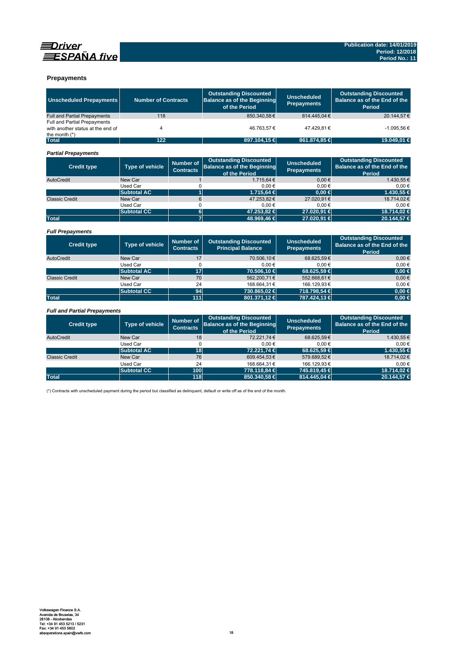



### **Prepayments**

| <b>Unscheduled Prepayments</b>                                                       | <b>Number of Contracts</b><br>118 |                                      | <b>Outstanding Discounted</b><br><b>Balance as of the Beginning</b><br>of the Period | <b>Unscheduled</b><br><b>Prepayments</b> | <b>Outstanding Discounted</b><br>Balance as of the End of the<br>Period        |
|--------------------------------------------------------------------------------------|-----------------------------------|--------------------------------------|--------------------------------------------------------------------------------------|------------------------------------------|--------------------------------------------------------------------------------|
| <b>Full and Partial Prepayments</b>                                                  |                                   |                                      | 850.340,58€                                                                          | 814.445,04€                              | 20.144,57€                                                                     |
| Full and Partial Prepayments<br>with another status at the end of<br>the month $(*)$ | 4                                 |                                      | 46.763,57€                                                                           | 47.429.81€                               | $-1.095,56 \in$                                                                |
| <b>Total</b>                                                                         | 122                               |                                      | 897.104,15 €                                                                         | 861.874,85 €                             | 19.049,01 €                                                                    |
| <b>Partial Prepayments</b>                                                           |                                   |                                      |                                                                                      |                                          |                                                                                |
| <b>Credit type</b>                                                                   | <b>Type of vehicle</b>            | <b>Number of</b><br><b>Contracts</b> | <b>Outstanding Discounted</b><br><b>Balance as of the Beginning</b><br>of the Period | <b>Unscheduled</b><br><b>Prepayments</b> | <b>Outstanding Discounted</b><br>Balance as of the End of the<br><b>Period</b> |
| AutoCredit                                                                           | New Car                           | $\mathbf{1}$                         | 1.715,64 €                                                                           | 0.00€                                    | 1.430,55€                                                                      |
|                                                                                      | <b>Used Car</b>                   | 0                                    | $0,00 \in$                                                                           | 0,00€                                    | $0,00$ €                                                                       |
|                                                                                      | <b>Subtotal AC</b>                | $\overline{1}$                       | 1.715.64 €                                                                           | $0.00 \in$                               | 1.430.55 €                                                                     |
| <b>Classic Credit</b>                                                                | New Car                           | $6\phantom{1}$                       | 47.253,82€                                                                           | 27.020.91€                               | 18.714,02€                                                                     |
|                                                                                      | Used Car                          | $\Omega$                             | 0.00€                                                                                | 0.00€                                    | 0.00€                                                                          |
|                                                                                      | <b>Subtotal CC</b>                | $\bf 6$                              | 47.253,82 €                                                                          | 27.020,91 €                              | 18.714,02 €                                                                    |
| <b>Total</b>                                                                         |                                   | $\overline{\mathbf{z}}$              | 48.969,46 €                                                                          | 27.020,91 €                              | 20.144,57 €                                                                    |
| <b>Full Prepayments</b>                                                              |                                   |                                      |                                                                                      |                                          |                                                                                |
| <b>Credit type</b>                                                                   | <b>Type of vehicle</b>            | <b>Number of</b><br><b>Contracts</b> | <b>Outstanding Discounted</b><br><b>Principal Balance</b>                            | <b>Unscheduled</b><br><b>Prepayments</b> | <b>Outstanding Discounted</b><br>Balance as of the End of the<br><b>Period</b> |
| AutoCredit                                                                           | New Car                           | 17                                   | 70.506,10€                                                                           | 68.625.59€                               | $0,00 \in$                                                                     |
|                                                                                      | <b>Used Car</b>                   | 0                                    | 0.00€                                                                                | 0.00€                                    | $0.00 \in$                                                                     |
|                                                                                      | <b>Subtotal AC</b>                | 17                                   | 70.506.10 €                                                                          | 68.625.59 €                              | $0.00 \in$                                                                     |
| <b>Classic Credit</b>                                                                | New Car                           | 70                                   | 562.200.71€                                                                          | 552.668.61€                              | $0,00 \in$                                                                     |
|                                                                                      | <b>Used Car</b>                   | 24                                   | 168.664,31€                                                                          | 166.129,93€                              | $0,00 \in$                                                                     |
|                                                                                      | <b>Subtotal CC</b>                | 94                                   | 730.865,02 €                                                                         | 718.798,54 €                             | $0,00$ €                                                                       |
| <b>Total</b>                                                                         |                                   | 111                                  | 801.371,12€                                                                          | 787.424,13 €                             | $\overline{0,00}$ $\in$                                                        |
| <b>Full and Partial Prepayments</b>                                                  |                                   |                                      |                                                                                      |                                          |                                                                                |
| <b>Credit type</b>                                                                   | <b>Type of vehicle</b>            | <b>Number of</b><br><b>Contracts</b> | <b>Outstanding Discounted</b><br><b>Balance as of the Beginning</b><br>of the Period | <b>Unscheduled</b><br><b>Prepayments</b> | <b>Outstanding Discounted</b><br>Balance as of the End of the<br><b>Period</b> |
| AutoCredit                                                                           | New Car                           | 18                                   | 72.221,74€                                                                           | 68.625.59€                               | 1.430,55€                                                                      |
|                                                                                      | Used Car                          | $\Omega$                             | $0,00 \in$                                                                           | 0.00€                                    | $0,00 \in$                                                                     |
|                                                                                      | <b>Subtotal AC</b>                | 18                                   | 72.221.74 €                                                                          | 68.625.59 €                              | 1.430.55 €                                                                     |
| <b>Classic Credit</b>                                                                | New Car                           | 76                                   | 609.454,53€                                                                          | 579.689,52€                              | 18,714.02€                                                                     |

**Total 118 850.340,58 € 814.445,04 € 20.144,57 €**

Used Car 24 168.664,31 € 166.129,93 € 1.0.1 H, 24 168.664,31 € 166.129,93 € 1.0.1 H, 24 166.664,31 € 166.129,93 € 1.118<br>Subtotal CC 100 778.118,84 € 745.819,45 € 18.714,02 € 118 118 850.340,58 € 814.445,04 € 20.144,57 € The CONSTRUCT CONTROL 100<br>
TT8.118,84 € 745.819,45 **€**<br>
118 850.340,58 € 814.445,04 €

(\*) Contracts with unscheduled payment during the period but classified as delinquent, default or write off as of the end of the month.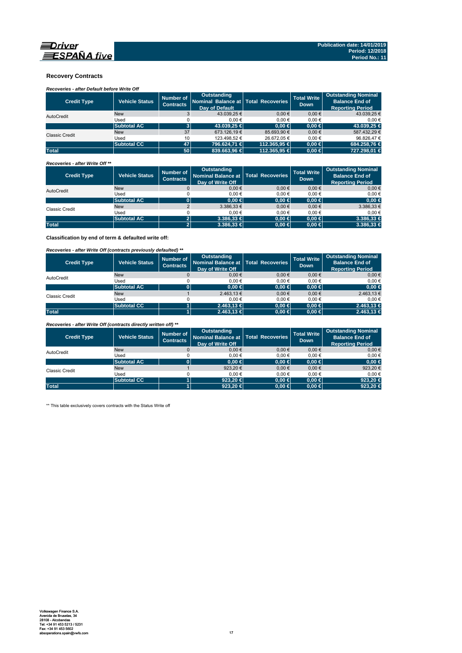

### **Recovery Contracts**

*Recoveries - after Default before Write Off* 

| <b>Credit Type</b>    | <b>Vehicle Status</b> | Number of<br><b>Contracts</b> | Outstanding<br>Nominal Balance at   Total Recoveries<br>Day of Default |              | <b>Total Write</b><br><b>Down</b> | <b>Outstanding Nominal</b><br><b>Balance End of</b><br>Reporting Period |
|-----------------------|-----------------------|-------------------------------|------------------------------------------------------------------------|--------------|-----------------------------------|-------------------------------------------------------------------------|
| AutoCredit            | <b>New</b>            |                               | 43.039.25 €                                                            | $0.00 \in$   | $0.00 \in$                        | 43.039,25 €                                                             |
|                       | Used                  |                               | $0.00 \in$                                                             | 0.00€        | 0.00€                             | 0.00€                                                                   |
|                       | <b>Subtotal AC</b>    | 3 <sup>1</sup>                | 43,039.25 €                                                            | $0.00 \in$   | $0.00 \in$                        | 43,039,25 €                                                             |
| <b>Classic Credit</b> | <b>New</b>            | 37                            | 673.126.19 €                                                           | 85.693.90 €  | $0.00 \in$                        | 587.432.29 €                                                            |
|                       | Used                  | 10                            | 123.498.52 €                                                           | 26.672.05 €  | 0.00€                             | 96.826.47 €                                                             |
|                       | <b>Subtotal CC</b>    | 47                            | 796.624.71 €                                                           | 112.365.95 € | $0.00 \in$                        | 684.258.76 €                                                            |
| <b>Total</b>          |                       | 50 <sup>1</sup>               | 839,663,96 €                                                           | 112.365.95 € | $0.00 \in$                        | 727.298.01 €                                                            |

*Recoveries - after Write Off \*\**

| <b>Credit Type</b> | <b>Vehicle Status</b> | Number of<br><b>Contracts</b> | <b>Outstanding</b><br>Nominal Balance at   Total Recoveries<br>Day of Write Off |            | <b>Total Write</b><br><b>Down</b> | <b>Outstanding Nominal</b><br><b>Balance End of</b><br><b>Reporting Period</b> |
|--------------------|-----------------------|-------------------------------|---------------------------------------------------------------------------------|------------|-----------------------------------|--------------------------------------------------------------------------------|
| AutoCredit         | <b>New</b>            | $\mathbf 0$                   | $0,00 \in$                                                                      | $0.00 \in$ | 0.00€                             | $0,00 \in$                                                                     |
|                    | Used                  |                               | 0.00€                                                                           | 0.00€      | 0.00€                             | $0.00 \in$                                                                     |
|                    | <b>Subtotal AC</b>    |                               | $0.00 \in$                                                                      | $0.00 \in$ | $0.00 \in$                        | $0,00 \in$                                                                     |
| Classic Credit     | <b>New</b>            |                               | $3.386.33 \in$                                                                  | $0.00 \in$ | $0,00 \in$                        | 3.386,33 €                                                                     |
|                    | Used                  |                               | 0.00€                                                                           | 0.00€      | 0.00€                             | $0.00 \in$                                                                     |
|                    | <b>Subtotal AC</b>    | $\mathbf{2}$                  | $3.386.33 \in$                                                                  | $0.00 \in$ | $0.00 \in$                        | $3.386,33 \in$                                                                 |
| <b>Total</b>       |                       | $\mathbf{2}$                  | $3.386,33 \in$                                                                  | $0,00 \in$ | $0.00 \in$                        | $3.386,33 \in$                                                                 |

**Classification by end of term & defaulted write off:**

*Recoveries - after Write Off (contracts previously defaulted) \*\**

| <b>Credit Type</b> | <b>Vehicle Status</b> | Number of<br><b>Contracts</b> | Outstanding<br>Nominal Balance at   Total Recoveries<br>Day of Write Off |            | <b>Total Write</b><br>Down. | <b>Outstanding Nominal</b><br><b>Balance End of</b><br><b>Reporting Period</b> |
|--------------------|-----------------------|-------------------------------|--------------------------------------------------------------------------|------------|-----------------------------|--------------------------------------------------------------------------------|
| AutoCredit         | <b>New</b>            |                               | 0.00€                                                                    | 0.00€      | $0,00 \in$                  | $0,00 \in$                                                                     |
|                    | Used                  |                               | 0.00€                                                                    | $0.00 \in$ | 0.00€                       | $0.00 \in$                                                                     |
|                    | <b>Subtotal AC</b>    |                               | $0.00 \in$                                                               | $0,00 \in$ | $0.00 \in$                  | $0,00 \in$                                                                     |
| Classic Credit     | <b>New</b>            |                               | 2.463,13€                                                                | 0.00€      | $0.00 \in$                  | 2.463,13 €                                                                     |
|                    | Used                  |                               | 0.00€                                                                    | $0.00 \in$ | 0.00€                       | $0.00 \in$                                                                     |
|                    | <b>Subtotal CC</b>    |                               | $2.463.13 \in$                                                           | $0.00 \in$ | $0.00 \in$                  | $2.463,13 \in$                                                                 |
| <b>Total</b>       |                       |                               | $2.463,13 \in$                                                           | $0,00 \in$ | $0.00 \in$                  | $2.463,13 \in$                                                                 |

*Recoveries - after Write Off (contracts directly written off) \*\**

| <b>Credit Type</b> | <b>Vehicle Status</b> | Number of<br><b>Contracts</b> | Outstanding<br>Nominal Balance at   Total Recoveries<br>Day of Write Off |            | <b>Total Write</b><br><b>Down</b> | <b>Outstanding Nominal</b><br><b>Balance End of</b><br><b>Reporting Period</b> |
|--------------------|-----------------------|-------------------------------|--------------------------------------------------------------------------|------------|-----------------------------------|--------------------------------------------------------------------------------|
| AutoCredit         | <b>New</b>            |                               | 0.00€                                                                    | 0.00€      | 0.00€                             | $0,00 \in$                                                                     |
|                    | Used                  |                               | 0.00€                                                                    | $0.00 \in$ | 0.00€                             | 0.00€                                                                          |
|                    | <b>Subtotal AC</b>    |                               | $0.00 \in$                                                               | $0,00 \in$ | 0.00 ∈                            | 0,00 ∈                                                                         |
| Classic Credit     | <b>New</b>            |                               | 923.20 $\epsilon$                                                        | $0.00 \in$ | 0.00€                             | 923,20€                                                                        |
|                    | Used                  |                               | 0.00€                                                                    | 0.00€      | 0.00€                             | $0.00 \in$                                                                     |
|                    | <b>Subtotal CC</b>    |                               | 923.20 $\in$                                                             | $0.00 \in$ | 0.00 ∈                            | 923.20 €                                                                       |
| <b>Total</b>       |                       |                               | 923.20 $\in$                                                             | $0,00 \in$ | $0.00 \in$                        | 923.20 €                                                                       |

\*\* This table exclusively covers contracts with the Status Write off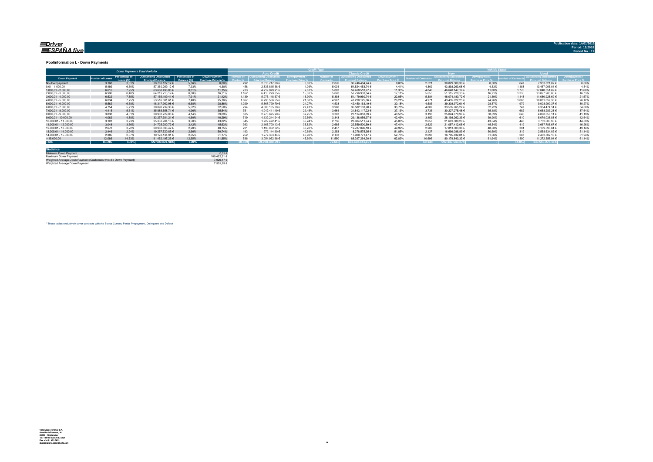#### <u>=Driver</u> ESPAÑA five

#### **Poolinformation I. - Down Payments**

|                       |               |                            | <b>Down Payments Total Porfolio</b>                       |                              |                                             |       |                                   |        |                  |                        | ______ |                 |                        |        |        |                  |        |
|-----------------------|---------------|----------------------------|-----------------------------------------------------------|------------------------------|---------------------------------------------|-------|-----------------------------------|--------|------------------|------------------------|--------|-----------------|------------------------|--------|--------|------------------|--------|
|                       |               |                            |                                                           |                              |                                             |       | <b>Auto Credit</b>                |        |                  | <b>Classic Credita</b> |        |                 | <b>RW</b>              |        |        | <b>Head</b>      |        |
| <b>Down Payment</b>   | umber of Loan | Percentage of<br>Loang (%) | <b>Outstanding Discounted</b><br><b>Princinal Balance</b> | Percentage of<br>Ralanca (%) | Down Payment/<br><b>Purchase Price in %</b> |       | umber of   Outstanding Discounted |        | <b>Jumber of</b> | Outstanding Discounted |        | mber of Contrac | Outstanding Discounted |        |        |                  |        |
| No downpayment        | 3.168         | 3.81%                      | 38.763.122.12 €                                           | 5.36%                        | 0.00%                                       | 292   | 2.016.717.88 €                    | 0.00%  | 2.876            | 36.746.404.24 €        | 0.00%  | 2.521           | 30.829.300.30 €        | 0.00%  | 647    | 7.933.821.82 €   | 0.00%  |
| $0.01 - 1.000.00$     | 5.492         | 6.60%                      | 57.360.269,12 €                                           | 7.93%                        | 4.38%                                       | 458   | 2.835.815,38 €                    | 4.09%  | 5.034            | 54.524.453.74 €        | 4 4 1% | 4.309           | 43.893.263.08 €        | 4.33%  | 1.183  | 13.467.006.04 €  | 4.54%  |
| $1.000.01 - 2.000.00$ | 6.616         | 7.95%                      | 63.688.498.88 €                                           | 8.81%                        | 11.15%                                      | 733   | 4.219.979.91 €                    | 9.87%  | 5.883            | 59.468.518.97 €        | 11.35% | 4.840           | 46.648.147.19 €        | 11.00% | 1.776  | 17.040.351.69 €  | 11.60% |
| 2.000.01 - 3.000.00   | 6.990         | 8.40%                      | 64.213.213.19 €                                           | 8.88%                        | 16.71%                                      | 1.162 | 6.416.279.35 €                    | 15.03% | 5.828            | 57.796.933.84 €        | 17.11% | 5.655           | 51.115.228.13 €        | 16.71% | 1.335  | 13.097.985.06 €  | 16,73% |
| $3.000.01 - 4.000.00$ | 6.532         | 7.85%                      | 57.155.109.41 €                                           | 7.91%                        | 21.42%                                      | 1.139 | 5.975.148.67 €                    | 18.90% | 5.393            | 51.179.960.74 €        | 22.05% | 5.384           | 46.074.180.72 €        | 21.39% | 1.148  | 11.080.928.69 €  | 21.57% |
| 4.000.01 - 5.000.00   | 6.034         | 7.25%                      | 53.516.681.61 €                                           | 7.40%                        | 25.16%                                      | 1.067 | 6.296.556.55 €                    | 21.30% | 4.967            | 47.220.125.06 €        | 26.21% | 4.971           | 43.435.622.25 €        | 24.96% | 1.063  | 10.081.059.36 €  | 26.12% |
| $5.000.01 - 6.000.00$ | 5.562         | 6.68%                      | 48.317.962.98 €                                           | 6.68%                        | 28.86%                                      | 1.029 | 5.867.799.79 €                    | 24.27% | 4.533            | 42.450.163.19 €        | 30.18% | 4.583           | 39.308.972.61 €        | 28.57% |        | 9.008.990.37 €   | 30,27% |
| 6.000.01 - 7.000.00   | 4.754         | 5.71%                      | 39.890.239.36 €                                           | 5.52%                        | 32.50%                                      | 794   | 4.308.105.38 €                    | 27.41% | 3.960            | 35.582.133.98 €        | 33.78% | 4.007           | 33.535.765.22 €        | 32.22% | 747    | 6.354.474.14 €   | 34,08% |
| 7.000.01 - 8.000.00   | 4.415         | 5.31%                      | 35.885.558.71 €                                           | 4.96%                        | 35.54%                                      | 751   | 4.042.441.49 €                    | 29.45% | 3.664            | 31.843.117.22 €        | 37.13% | 3.733           | 30.227.275.48 €        | 35.18% | 682    | 5.658.283.23 €   | 37.64% |
| 8.000.01 - 9.000.00   | 3.838         | 4.61%                      | 29.902.729.08 €                                           | 4.14%                        | 39.09%                                      | 535   | 2.778.675.99 €                    | 32.25% | 3.303            | 27.124.053.09 €        | 40.50% | 3.198           | 25.024.670.97 €        | 38.69% | 640    | 4.878.058.11 €   | 41.19% |
| 9.000.01 - 10.000.00  | 4.062         | 4.88%                      | 33.277.301.21 €                                           | 4.60%                        | 40.29%                                      | 719   | 4.139.244.24 €                    | 32.56% | 3.343            | 29.138.056.97 €        | 42.49% | 3.452           | 28.198.262.33 €        | 39.90% |        | 5.079.038.88 0   | 42.64% |
| 10.000.01 - 11.000.00 | 3.101         | 3.73%                      | 25.333.984.15 €                                           | 3.50%                        | 43.82%                                      | 345   | 1.729.472.41 €                    | 36.24% | 2.756            | 23.604.511.74 €        | 45.00% | 2.658           | 21.601.380.20 €        | 43.64% | 443    | 3.732.603.95 €   | 44.89% |
| 11.000.01 - 12.000.00 | 3.048         | 3.66%                      | 24.725.200.72 €                                           | 3.42%                        | 45.63%                                      | 363   | 2.165.700.13 €                    | 35.82% | 2.685            | 22.559.500.59 €        | 47.41% | 2.629           | 21.057.412.05 €        | 45.54% | 419    | 3.667.788.67 €   | 46.26% |
| 12.000.01 - 13.000.00 | 2.678         | 3.22%                      | 20.982.898.42 €                                           | 2.90%                        | 48.75%                                      | 221   | 1.195.002.32 €                    | 38.28% | 2.457            | 19.787.896.10 €        | 49.99% | 2.287           | 17.813.303.38 €        | 48.68% | 391    | 3.169.595.04 €   | 49.14% |
| 13.000.01 - 14.000.00 | 2.446         | 2.94%                      | 19.257.720.85 €                                           | 2.66%                        | 50.74%                                      | 193   | 979.144.90 €                      | 40.69% | 2.253            | 18.278.575.95 €        | 51.85% | 2.127           | 16.699.086.83 €        | 50.69% | 319    | 2.558.634.02 €   | 51.14% |
| 14.000.01 - 15.000.00 | 2.385         | 2.87%                      | 19.178.134.91 €                                           | 2.65%                        | 51.17%                                      | 252   | 1.277.363.44 €                    | 40.90% | 2.133            | 17.900.771.47 €        | 52.75% | 2.098           | 16.705.832.81 €        | 51.06% | 287    | 2.472.302.10 €   | 51.94% |
| >15.000,00            | 12.086        | 14.53%                     | 91.452.197.26 €                                           | 12.65%                       | 61.85%                                      | 53    | 3.054.932.96 €                    | 45.60% | 11.550           | 88.397.264.30 €        | 62.83% | 10.696          | 80.179.840.32 €        | 61.94% | 1.390  | 11.272.356.94 €  | 61.14% |
| <b>Total</b>          | 83.207        | 100%                       | 722,900,821,98 €                                          | 100%                         |                                             | 0.589 | 59.298.380.79€                    |        | 72.618           | 663.602.441.19€        |        | 69.148          | 592.347.543.87€        |        | 14.059 | 130.553.278.11 € |        |

| <b>Statistics</b>                                              |              |
|----------------------------------------------------------------|--------------|
| Minimum Down Payment                                           | $0.01 \in$   |
| Maximum Down Payment                                           | 100 422 31 € |
| Weighted Average Down Payment (Customers who did Down Payment) | 7.926.17 €   |
| Weighted Average Down Payment                                  | 7.501.15 €   |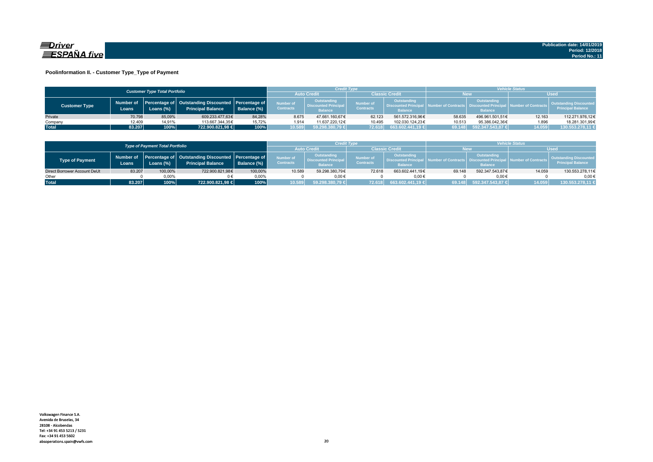

### **Poolinformation II. - Customer Type\_Type of Payment**

|                      |                                      |           |                                                                                |                    |                               | <b>Credit Type</b>                                           |                               |                                                                    | <b>Vehicle Status</b> |                                                                                 |                         |                                                           |  |
|----------------------|--------------------------------------|-----------|--------------------------------------------------------------------------------|--------------------|-------------------------------|--------------------------------------------------------------|-------------------------------|--------------------------------------------------------------------|-----------------------|---------------------------------------------------------------------------------|-------------------------|-----------------------------------------------------------|--|
|                      | <b>Customer Type Total Portfolio</b> |           |                                                                                |                    |                               |                                                              | <b>Classic Credit</b>         |                                                                    | ۷ew                   |                                                                                 |                         |                                                           |  |
| <b>Customer Type</b> | Number of<br>Loans                   | .oans (%) | Percentage of Outstanding Discounted Percentage of<br><b>Principal Balance</b> | <b>Balance (%)</b> | Number of<br><b>Contracts</b> | Outstanding<br><b>Discounted Principal</b><br><b>Balance</b> | Number of<br><b>Contracts</b> | <b>Outstanding</b><br><b>Discounted Principa</b><br><b>Balance</b> |                       | <b>Outstanding</b><br>mber of Contracts   Discounted Principa<br><b>Balance</b> | Jal Number of Contracts | <b>Outstanding Discounted</b><br><b>Principal Balance</b> |  |
| Private              | 70.798                               | 85.09%    | 609.233.477.63€                                                                | 84.28%             | 8.675                         | 47.661.160.67€                                               | 62.123                        | 561.572.316.96€                                                    | 58.635                | 496.961.501.51€                                                                 | 12.163                  | 112.271.976,12€                                           |  |
| Company              | 12,409                               | 14,91%    | 113.667.344.35€                                                                | 15.72%             | 1.914                         | 11.637.220.12€                                               | 10.495                        | 102.030.124.23€                                                    | 10.513                | 95.386.042.36€                                                                  | 1.896                   | 18.281.301,99€                                            |  |
| <b>Total</b>         | 83.207                               | 100%      | 722.900.821,98 €                                                               | 100%               | 10.589                        | 59.298.380,79 €                                              |                               | [72.618 663.602.441,19 €                                           | 69.148                | 592.347.543,87 €                                                                | 14.059                  | 130.553.278,11 €                                          |  |

|                              |                                        |           |                                                                                          |             |                                      | <b>Credit Type</b>                                          |                               |                                                                 | <i><b>Vehicle Status</b></i> |                                                            |                              |                                                    |  |
|------------------------------|----------------------------------------|-----------|------------------------------------------------------------------------------------------|-------------|--------------------------------------|-------------------------------------------------------------|-------------------------------|-----------------------------------------------------------------|------------------------------|------------------------------------------------------------|------------------------------|----------------------------------------------------|--|
|                              | <b>Type of Payment Total Portfolio</b> |           |                                                                                          |             |                                      |                                                             | Classic Credit                |                                                                 | New                          |                                                            | <b>Used</b>                  |                                                    |  |
| <b>Type of Payment</b>       | Loans                                  | Loans (%) | Number of Percentage of Outstanding Discounted Percentage of<br><b>Principal Balance</b> | Balance (%) | <b>Number of</b><br><b>Contracts</b> | Outstanding<br><b>Discounted Principa</b><br><b>Balance</b> | Number of<br><b>Contracts</b> | Outstanding<br><b>N. Discounted Principal</b><br><b>Balance</b> | Number of Contracts          | Outstanding<br><b>Discounted Princip</b><br><b>Balance</b> | <b>I</b> Number of Contracts | Outstanding Discounted<br><b>Principal Balance</b> |  |
| Direct Borrower Account DeUt | 83.207                                 | 100,00%   | 722.900.821,98€                                                                          | 100,00%     | 10.589                               | 59.298.380.79€                                              | 72.618                        | 663.602.441.19€                                                 | 69.148                       | 592.347.543.87€                                            | 14.059                       | 130.553.278,11€                                    |  |
| Other                        |                                        | $0.00\%$  |                                                                                          | 0.00%       |                                      | $0.00 \in$                                                  |                               | 0.006                                                           |                              | $0.00 \in$                                                 |                              | $0.00 \in$                                         |  |
| <b>Total</b>                 | 83.207                                 | 100%      | 722.900.821,98 €                                                                         | 100%        | 10.589                               | 59.298.380,79 €                                             | 72.618                        | 663.602.441,19 €                                                | 69.148                       | $$592.347.543.87 \in$                                      | 14.059                       | 130.553.278,11 €                                   |  |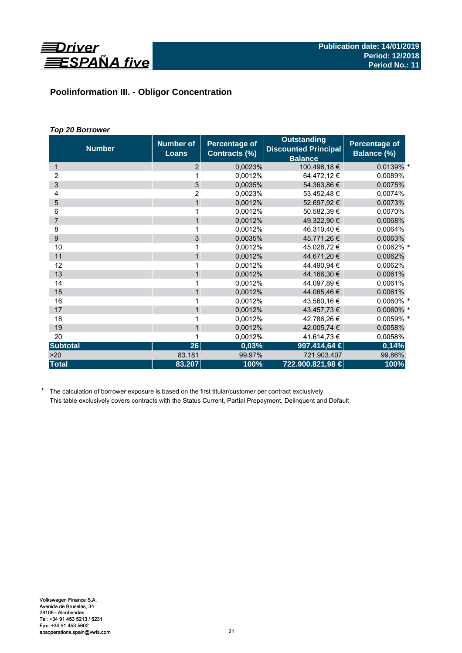

# **Poolinformation III. - Obligor Concentration**

# *Top 20 Borrower*

| <b>Number</b>   | <b>Number of</b><br><b>Loans</b> | <b>Percentage of</b><br>Contracts (%) | <b>Outstanding</b><br><b>Discounted Principal</b><br><b>Balance</b> | Percentage of<br>Balance (%) |
|-----------------|----------------------------------|---------------------------------------|---------------------------------------------------------------------|------------------------------|
| 1               | 2                                | 0,0023%                               | 100.496,18 €                                                        | 0,0139% *                    |
| 2               |                                  | 0,0012%                               | 64.472,12 €                                                         | 0,0089%                      |
| 3               | 3                                | 0.0035%                               | 54.363,86 €                                                         | 0,0075%                      |
| 4               | 2                                | 0,0023%                               | 53.452,48€                                                          | 0,0074%                      |
| 5               | $\mathbf{1}$                     | 0,0012%                               | 52.697,92 €                                                         | 0,0073%                      |
| 6               | 1                                | 0.0012%                               | 50.582,39 €                                                         | 0,0070%                      |
| $\overline{7}$  | 1                                | 0,0012%                               | 49.322,90 €                                                         | 0,0068%                      |
| 8               | 1                                | 0,0012%                               | 46.310,40 €                                                         | 0,0064%                      |
| 9               | 3                                | 0,0035%                               | 45.771,26 €                                                         | 0,0063%                      |
| 10              | 1                                | 0,0012%                               | 45.028,72 €                                                         | 0,0062% *                    |
| 11              | $\mathbf{1}$                     | 0,0012%                               | 44.671,20 €                                                         | 0,0062%                      |
| 12              | 1                                | 0,0012%                               | 44.490,94 €                                                         | 0,0062%                      |
| 13              | $\mathbf{1}$                     | 0,0012%                               | 44.166,30 €                                                         | 0,0061%                      |
| 14              | 1                                | 0.0012%                               | 44.097,89€                                                          | 0,0061%                      |
| 15              | $\mathbf{1}$                     | 0,0012%                               | 44.065,46 €                                                         | 0,0061%                      |
| 16              | 1                                | 0,0012%                               | 43.560,16 €                                                         | 0,0060% *                    |
| 17              | $\mathbf{1}$                     | 0,0012%                               | 43.457,73 €                                                         | 0,0060% *                    |
| 18              | 1                                | 0.0012%                               | 42.786,26€                                                          | 0,0059% *                    |
| 19              | $\mathbf{1}$                     | 0,0012%                               | 42.005,74 €                                                         | 0,0058%                      |
| 20              | 1                                | 0,0012%                               | 41.614,73 €                                                         | 0,0058%                      |
| <b>Subtotal</b> | 26                               | 0,03%                                 | 997.414,64 €                                                        | 0,14%                        |
| >20             | 83.181                           | 99,97%                                | 721.903.407                                                         | 99,86%                       |
| <b>Total</b>    | 83.207                           | 100%                                  | 722.900.821,98 €                                                    | 100%                         |

\* The calculation of borrower exposure is based on the first titular/customer per contract exclusively This table exclusively covers contracts with the Status Current, Partial Prepayment, Delinquent and Default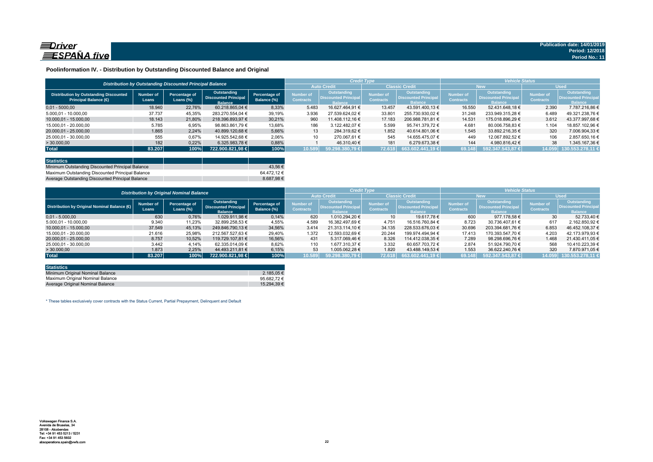

### **Poolinformation IV. - Distribution by Outstanding Discounted Balance and Original**

|                                                                              |                    | Distribution by Outstanding Discounted Principal Balance |                                                              |                              |                               | <b>Credit Type</b>                                          |                                      |                                                                     | <b>Vehicle Status</b>                |                                                             |                                      |                                                             |  |
|------------------------------------------------------------------------------|--------------------|----------------------------------------------------------|--------------------------------------------------------------|------------------------------|-------------------------------|-------------------------------------------------------------|--------------------------------------|---------------------------------------------------------------------|--------------------------------------|-------------------------------------------------------------|--------------------------------------|-------------------------------------------------------------|--|
|                                                                              |                    |                                                          |                                                              |                              | <b>Auto Credit</b>            |                                                             | <b>Classic Credit</b>                |                                                                     | <b>New</b>                           |                                                             | <b>Used</b>                          |                                                             |  |
| <b>Distribution by Outstanding Discounted</b><br><b>Principal Balance (€</b> | Number of<br>Loans | Percentage of<br>Loans $(\%)$                            | Outstanding<br><b>Discounted Principal</b><br><b>Balance</b> | Percentage of<br>Balance (%) | Number of<br><b>Contracts</b> | Outstanding<br><b>Discounted Principa</b><br><b>Ralance</b> | <b>Number of</b><br><b>Contracts</b> | <b>Outstanding</b><br><b>Discounted Principal</b><br><b>Balance</b> | <b>Number of</b><br><b>Contracts</b> | Outstanding<br><b>Discounted Principa</b><br><b>Ralance</b> | <b>Number of</b><br><b>Contracts</b> | <b>Outstanding</b><br><b>Discounted Principa</b><br>Zalanco |  |
| $0.01 - 5000.00$                                                             | 18.940             | 22,76%                                                   | 60.218.865.04 €                                              | 8,33%                        | 5.483                         | 16.627.464.91 €                                             | 13.457                               | 43.591.400.13 €                                                     | 16.550                               | 52.431.648.18 €                                             | 2.390                                | 7.787.216.86 €                                              |  |
| 5.000.01 - 10.000.00                                                         | 37.737             | 45,35%                                                   | 283.270.554.04 €                                             | 39.19%                       | 3.936                         | 27.539.624.02 €                                             | 33.80                                | 255.730.930.02 €                                                    | 31.248                               | 233.949.315.28 €                                            | 6.489                                | 49.321.238.76 €                                             |  |
| 10.000.01 - 15.000.00                                                        | 18.143             | 21,80%                                                   | 218.396.893.97 €                                             | 30.21%                       | 960                           | 11.408.112.16 €                                             | 17.183                               | 206.988.781.81 €                                                    | 14.531                               | 175.018.896.29 €                                            | 3.612                                | 43.377.997.68 €                                             |  |
| 15.000.01 - 20.000.00                                                        | 5.785              | 6,95%                                                    | 98.863.861.79 €                                              | 13,68%                       | 186                           | 3.122.482.07 €                                              | 5.599                                | 95.741.379.72 €                                                     | 4.681                                | 80.006.758.83 €                                             | 1.104                                | 18.857.102.96 €                                             |  |
| 20.000.01 - 25.000.00                                                        | 1.865              | 2.24%                                                    | 40.899.120.68 €                                              | 5.66%                        | 13                            | 284.319.62 €                                                | 1.852                                | 40.614.801.06 €                                                     | 1.545                                | 33.892.216.35 €                                             | 320                                  | 7.006.904.33 €                                              |  |
| 25.000,01 - 30.000,00                                                        | 555                | 0,67%                                                    | 14.925.542.68 €                                              | 2,06%                        | 10                            | 270.067.61 €                                                | 545                                  | 14.655.475.07 €                                                     | 449                                  | 12.067.892.52 €                                             | 106                                  | 2.857.650.16 €                                              |  |
| > 30.000,00                                                                  | 182                | 0,22%                                                    | 6.325.983.78 €                                               | 0,88%                        |                               | 46.310.40 €                                                 | 181                                  | 6.279.673.38 €                                                      | 144                                  | 4.980.816.42 €                                              | 38                                   | .345.167.36 €                                               |  |
| <b>Total</b>                                                                 | 83.207             | 100%                                                     | 722.900.821.98 €                                             | 100%                         | 10.589                        | $59.298.380.79 \in$                                         | 72.618                               | $663.602.441.19 \in$                                                | 69.148                               | 592.347.543.87 €                                            | 14.059                               | 130.553.278.11 €                                            |  |

| <b>Statistics</b>                                |             |
|--------------------------------------------------|-------------|
| Minimum Outstanding Discounted Principal Balance | 43.56 €     |
| Maximum Outstanding Discounted Principal Balance | 64.472.12 € |
| Average Outstanding Discounted Principal Balance | 8.687.98€   |

|                                              |                           | <b>Distribution by Original Nominal Balance</b> |                                                              |                              |                                      |                                                              | <b>Credit Type</b>            |                                                       | <b>Vehicle Status</b>         |                                                              |                               |                                                             |  |
|----------------------------------------------|---------------------------|-------------------------------------------------|--------------------------------------------------------------|------------------------------|--------------------------------------|--------------------------------------------------------------|-------------------------------|-------------------------------------------------------|-------------------------------|--------------------------------------------------------------|-------------------------------|-------------------------------------------------------------|--|
|                                              |                           |                                                 |                                                              |                              | <b>Auto Credit</b>                   |                                                              | <b>Classic Credit</b>         |                                                       | <b>New</b>                    |                                                              | <b>Used</b>                   |                                                             |  |
| Distribution by Original Nominal Balance (6) | <b>Number of</b><br>Loans | Percentage of<br>Loans $(\%)$                   | Outstanding<br><b>Discounted Principal</b><br><b>Balance</b> | Percentage of<br>Balance (%) | <b>Number of</b><br><b>Contracts</b> | Outstanding<br><b>Discounted Principal</b><br><b>Balance</b> | Number of<br><b>Contracts</b> | Outstanding<br>Discounted Principal<br><b>Balance</b> | Number of<br><b>Contracts</b> | <b>Outstanding</b><br>Discounted Principal<br><b>Balance</b> | Number of<br><b>Contracts</b> | Outstanding<br><b>Discounted Principa</b><br><b>Balance</b> |  |
| $0.01 - 5.000.00$                            | 630                       | 0,76%                                           | 1.029.911.98 €                                               | 0,14%                        | 620                                  | 1.010.294.20 €                                               | 10                            | 19.617.78 €                                           | 600                           | 977.178.58 €                                                 | 30 <sup>°</sup>               | 52.733.40 €                                                 |  |
| 5.000.01 - 10.000.00                         | 9.340                     | 11,23%                                          | 32.899.258,53 €                                              | 4,55%                        | 4.589                                | 16.382.497.69 €                                              | 4.751                         | 16.516.760.84 €                                       | 8.723                         | 30.736.407.61 €                                              | 617                           | 2.162.850.92 €                                              |  |
| 10.000.01 - 15.000.00                        | 37.549                    | 45,13%                                          | 249.846.790.13 €                                             | 34,56%                       | 3.414                                | 21.313.114.10 €                                              | 34.135                        | 228.533.676.03 €                                      | 30.696                        | 203.394.681.76 €                                             | 6.853                         | 46.452.108.37 €                                             |  |
| 15.000.01 - 20.000.00                        | 21.616                    | 25,98%                                          | 212.567.527.63 €                                             | 29,40%                       | 1.372                                | 12.593.032.69 €                                              | 20.244                        | 199.974.494.94 €                                      | 17.413                        | 170.393.547.70 €                                             | 4.203                         | 42.173.979.93 €                                             |  |
| 20.000.01 - 25.000.00                        | 8.757                     | 10.52%                                          | 119.729.107.81 €                                             | 16.56%                       | 431                                  | 5.317.069.46 €                                               | 8.326                         | 114.412.038.35 €                                      | 7.289                         | 98.298.696.76 €                                              | 1.468                         | 21.430.411.05 €                                             |  |
| 25.000.01 - 30.000.00                        | 3.442                     | 4.14%                                           | 62.335.014.09 €                                              | 8.62%                        | 110                                  | 1.677.310.37 €                                               | 3.332                         | 60.657.703.72 €                                       | 2.874                         | 51.924.790.70 €                                              | 568                           | 10.410.223.39 €                                             |  |
| >30.000,00                                   | 1.873                     | 2.25%                                           | 44.493.211.81 €                                              | 6,15%                        | 53                                   | 1.005.062.28 €                                               | 1.820                         | 43.488.149.53 €                                       | 1.553                         | 36.622.240.76 €                                              | 320                           | 7.870.971.05 €                                              |  |
| <b>Total</b>                                 | 83.207                    | 100%                                            | 722.900.821,98 €                                             | 100%                         | 10.589                               | 59.298.380,79 €                                              | 72.618                        | $663.602.441.19 \in$                                  | 69.148                        | 592.347.543.87 €                                             | 14.059                        | 130.553.278.11                                              |  |

| <b>Statistics</b>                |             |
|----------------------------------|-------------|
| Minimum Original Nominal Balance | 2.185.05 €  |
| Maximum Original Nominal Balance | 95.682.72€  |
| Average Original Nominal Balance | 15.294.39 € |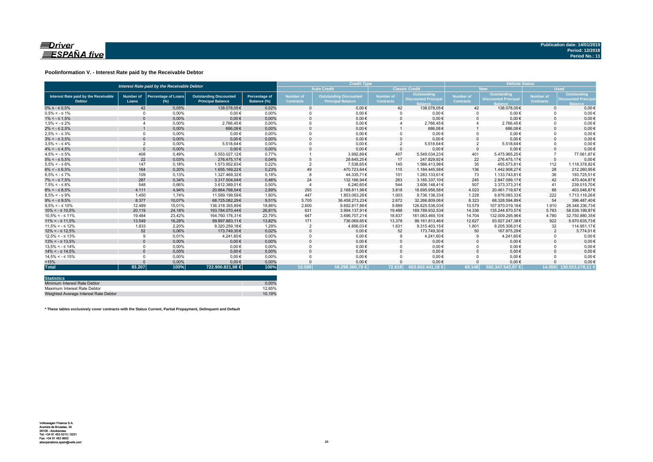

### **Poolinformation V. - Interest Rate paid by the Receivable Debtor**

|                                                       | Interest Rate paid by the Receivable Debtor |                                      |                                                           |                                     |                                      |                                                           | <b>Credit Type</b>                   |                                           |                        |                                           |                               | <b>Vehicle Status</b>                                    |  |  |  |
|-------------------------------------------------------|---------------------------------------------|--------------------------------------|-----------------------------------------------------------|-------------------------------------|--------------------------------------|-----------------------------------------------------------|--------------------------------------|-------------------------------------------|------------------------|-------------------------------------------|-------------------------------|----------------------------------------------------------|--|--|--|
|                                                       |                                             |                                      |                                                           |                                     |                                      | <b>Auto Credit</b>                                        |                                      | <b>Classic Credit</b>                     |                        | <b>New</b>                                | <b>Used</b>                   |                                                          |  |  |  |
| Interest Rate paid by the Receivable<br><b>Debtor</b> | <b>Number of</b><br>Loans                   | <b>Percentage of Loans</b><br>$(\%)$ | <b>Outstanding Discounted</b><br><b>Principal Balance</b> | <b>Percentage of</b><br>Balance (%) | <b>Number of</b><br><b>Contracts</b> | <b>Outstanding Discounted</b><br><b>Principal Balance</b> | <b>Number of</b><br><b>Contracts</b> | Outstanding<br><b>Discounted Principa</b> | Number of<br>Contracts | Outstanding<br><b>Discounted Principa</b> | Number of<br><b>Contracts</b> | Outstanding<br><b>Discounted Princip</b><br><b>Ralar</b> |  |  |  |
| $0\% \leq -\leq 0.5\%$                                | 42                                          | 0.05%                                | 138.078.05€                                               | 0,02%                               |                                      | $0.00 \in$                                                | 42                                   | 138.078.05€                               | 42                     | 138.078,05€                               | $\Omega$                      | $0,00 \in$                                               |  |  |  |
| $0.5\% < -5.1\%$                                      | $\Omega$                                    | 0,00%                                | $0.00 \in$                                                | 0,00%                               |                                      | $0,00 \in$                                                |                                      | $0,00 \in$                                |                        | $0,00 \in$                                |                               | $0,00 \in$                                               |  |  |  |
| $1\% < - \leq 1.5\%$                                  |                                             | 0,00%                                | $0.00 \in$                                                | 0,00%                               |                                      | $0.00 \in$                                                |                                      | $0.00 \in$                                | $\Omega$               | $0,00 \in$                                |                               | $0.00 \in$                                               |  |  |  |
| $1.5\% < -5.2\%$                                      |                                             | 0.00%                                | 2.766.45€                                                 | 0.00%                               |                                      | $0.00 \in$                                                |                                      | 2.766.45€                                 |                        | 2.766.45€                                 |                               | $0.00 \in$                                               |  |  |  |
| $2\% < - \leq 2.5\%$                                  |                                             | 0,00%                                | 686.08€                                                   | 0,00%                               |                                      | $0.00 \in$                                                |                                      | 686,08€                                   |                        | 686,08€                                   |                               | $0.00 \in$                                               |  |  |  |
| $2.5\% < -5.3\%$                                      | $\Omega$                                    | 0,00%                                | $0.00 \in$                                                | 0,00%                               |                                      | $0,00 \in$                                                |                                      | $0,00 \in$                                | $\Omega$               | $0.00 \in$                                |                               | $0,00 \in$                                               |  |  |  |
| $3\% < - \leq 3.5\%$                                  |                                             | 0,00%                                | $0,00 \in$                                                | 0,00%                               |                                      | $0,00 \in$                                                |                                      | $0,00 \in$                                | $\Omega$               | $0,00 \in$                                |                               | $0,00 \in$                                               |  |  |  |
| $3.5\% < -5.4\%$                                      | $\overline{2}$                              | 0,00%                                | 5.518.64€                                                 | 0,00%                               |                                      | $0.00 \in$                                                | $\overline{2}$                       | 5.518,64€                                 | $\overline{2}$         | 5.518,64€                                 |                               | $0,00 \in$                                               |  |  |  |
| $4\% < - \leq 4.5\%$                                  | $\Omega$                                    | 0.00%                                | $0.00 \in$                                                | 0.00%                               |                                      | $0.00 \in$                                                | $\Omega$                             | $0.00 \in$                                | $\Omega$               | $0.00 \in$                                |                               | $0,00 \in$                                               |  |  |  |
| $4.5\% < -5\%$                                        | 408                                         | 0.49%                                | 5.553.027.12€                                             | 0.77%                               |                                      | 3.992.89€                                                 | 407                                  | 5.549.034.23€                             | 401                    | 5.475.965.25€                             |                               | 77.061,87€                                               |  |  |  |
| $5\% < - \leq 5.5\%$                                  | 22                                          | 0.03%                                | 276.475.17€                                               | 0.04%                               |                                      | 28.645.25€                                                | 17                                   | 247.829.92€                               | 22                     | 276.475.17€                               | $\Omega$                      | $0.00 \in$                                               |  |  |  |
| $5.5\% < -5.6\%$                                      | 147                                         | 0,18%                                | 1.573.952.63€                                             | 0.22%                               |                                      | 7.538.65€                                                 | 145                                  | 1.566.413.98€                             | 35                     | 455.573.81€                               | 112                           | 1.118.378.82€                                            |  |  |  |
| $6\% < - \leq 6.5\%$                                  | 164                                         | 0,20%                                | 1.655.169,22€                                             | 0,23%                               | 49                                   | 470.723,64€                                               | 115                                  | 1.184.445,58€                             | 136                    | 1.442.908.27€                             | 28                            | 212.260,95€                                              |  |  |  |
| $6.5\% < -5.7\%$                                      | 109                                         | 0.13%                                | 1.327.469.32€                                             | 0.18%                               |                                      | 44.335.71€                                                | 101                                  | 1.283.133.61€                             | 73                     | 1.133.743.81€                             | 36                            | 193.725.51€                                              |  |  |  |
| $7\% < - \leq 7.5\%$                                  | 287                                         | 0,34%                                | 3.317.504,04€                                             | 0,46%                               | 24                                   | 132.166,94€                                               | 263                                  | 3.185.337,10€                             | 245                    | 2.847.099,17€                             | 42                            | 470.404.87€                                              |  |  |  |
| $7.5\% < -5.8\%$                                      | 548                                         | 0.66%                                | 3.612.389.01€                                             | 0.50%                               |                                      | 6.240.60€                                                 | 544                                  | 3.606.148.41€                             | 507                    | 3.373.373.31 €                            | 41                            | 239.015.70€                                              |  |  |  |
| $8\% < - \leq 8.5\%$                                  | 4.111                                       | 4,94%                                | 20.864.768.54€                                            | 2,89%                               | 293                                  | 2.168.811.96€                                             | 3.818                                | 18.695.956.58€                            | 4.023                  | 20.461.719.67€                            | 88                            | 403.048.87€                                              |  |  |  |
| $8.5\% < -5.9\%$                                      | 1.450                                       | 1.74%                                | 11.589.199.59€                                            | 1.60%                               | 447                                  | 1.853.063.26€                                             | 1.003                                | 9.736.136.33€                             | 1.228                  | 9.876.083.33€                             | 222                           | 1.713.116.26€                                            |  |  |  |
| $9\% < - \leq 9.5\%$                                  | 8.377                                       | 10,07%                               | 68.725.082.29€                                            | 9,51%                               | 5.705                                | 36.458.273.23€                                            | 2.672                                | 32.266.809.06€                            | 8.323                  | 68.328.594.89€                            | 54                            | 396.487.40€                                              |  |  |  |
| $9.5\% < -5.10\%$                                     | 12.489                                      | 15,01%                               | 136.318.355,89€                                           | 18,86%                              | 2.600                                | 9.692.817,86€                                             | 9.889                                | 126.625.538,03€                           | 10.579                 | 107.970.019,16€                           | 1.910                         | 28.348.336,73€                                           |  |  |  |
| $10\% < -\leq 10.5\%$                                 | 20.119                                      | 24,18%                               | 193.784.070.44€                                           | 26,81%                              | 631                                  | 3.994.137.91€                                             | 19.488                               | 189.789.932.53€                           | 14,336                 | 135.244.870.57€                           | 5.783                         | 58.539.199.87€                                           |  |  |  |
| $10.5\% < -5.11\%$                                    | 19.484                                      | 23,42%                               | 164.760.176,31€                                           | 22.79%                              | 647                                  | 3.696.707.21€                                             | 18.837                               | 161.063.469.10€                           | 14.704                 | 132.009.295,96€                           | 4.780                         | 32.750.880.35€                                           |  |  |  |
| $11\% < - \leq 11.5\%$                                | 13.549                                      | 16.28%                               | 99.897.883.11€                                            | 13,82%                              | 171                                  | 736.069,65€                                               | 13.378                               | 99.161.813.46€                            | 12.627                 | 93.927.247.38€                            | 922                           | 5.970.635,73€                                            |  |  |  |
| $11,5\% < -512\%$                                     | 1.833                                       | 2.20%                                | 9.320.259.18€                                             | 1.29%                               |                                      | 4.856,03€                                                 | 1.831                                | 9.315.403.15€                             | 1.801                  | 9.205.308.01€                             | 32                            | 114.951.17€                                              |  |  |  |
| $12\% < -512.5\%$                                     | 52                                          | 0,06%                                | 173.749.30€                                               | 0,02%                               |                                      | $0.00 \in$                                                | 52                                   | 173.749.30€                               | 50                     | 167.975.29€                               | $\overline{2}$                | 5.774.01€                                                |  |  |  |
| $12.5\% < -5.13\%$                                    | <b>Q</b>                                    | 0,01%                                | 4.241,60€                                                 | 0,00%                               |                                      | $0,00 \in$                                                | 9                                    | 4.241,60€                                 | -9                     | 4.241,60€                                 |                               | $0,00 \in$                                               |  |  |  |
| $13\% < -513.5\%$                                     | $\Omega$                                    | 0,00%                                | $0,00 \in$                                                | 0,00%                               |                                      | $0,00 \in$                                                |                                      | $0,00 \in$                                | $\Omega$               | $0,00 \in$                                |                               | $0,00 \in$                                               |  |  |  |
| $13.5\% < -5.14\%$                                    | $\Omega$                                    | $0.00\%$                             | $0,00 \in$                                                | 0,00%                               |                                      | $0,00 \in$                                                |                                      | $0,00 \in$                                | $\Omega$               | $0,00 \in$                                |                               | $0,00 \in$                                               |  |  |  |
| $14\% < -5.14.5\%$                                    | $\Omega$                                    | 0,00%                                | $0.00 \in$                                                | 0,00%                               |                                      | $0.00 \in$                                                |                                      | $0.00 \in$                                | $\Omega$               | $0.00 \in$                                |                               | $0,00 \in$                                               |  |  |  |
| $14.5\% < -5.15\%$                                    | $\Omega$                                    | 0.00%                                | $0.00 \in$                                                | 0.00%                               |                                      | $0.00 \in$                                                |                                      | $0,00 \in$                                | $\Omega$               | $0.00 \in$                                |                               | $0.00 \in$                                               |  |  |  |
| >15%                                                  |                                             | 0,00%                                | $0.00 \in$                                                | 0.00%                               |                                      | $0.00 \in$                                                |                                      | $0.00 \in$                                | $\Omega$               | $0.00 \in$                                |                               | $0,00 \in$                                               |  |  |  |
| <b>Total</b>                                          | 83.207                                      | 100%                                 | 722.900.821.98 €                                          | 100%                                | 10.589                               | 59.298.380.79 €                                           | 72.618                               | 663.602.441.19 €                          | 69.148                 | 592.347.543.87 €                          |                               | 14.059 130.553.278.11 €                                  |  |  |  |

| <b>Statistics</b>                     |        |
|---------------------------------------|--------|
| Minimum Interest Rate Debtor          | 0.00%  |
| Maximum Interest Rate Debtor          | 12.65% |
| Weighted Average Interest Rate Debtor | 10.19% |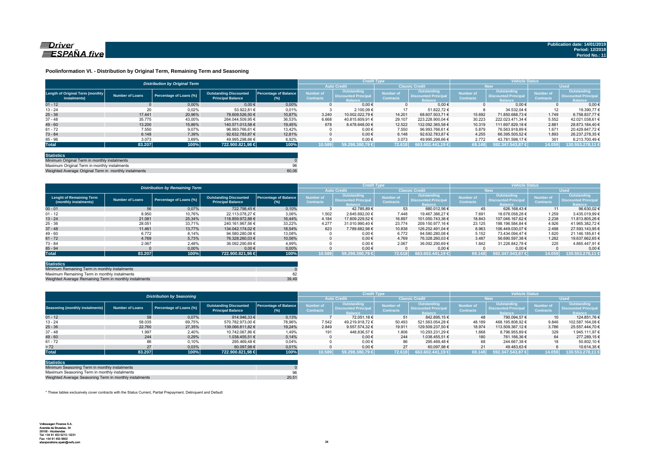

#### **Poolinformation VI. - Distribution by Original Term, Remaining Term and Seasoning**

|                                                  |                 | <b>Distribution by Original Term</b> |                                                           |                                     |                                      | <b>Credit Type</b>                                           |                                      |                                                              | <b>Vehicle Status</b>                |                                                                    |                                      |                                                                     |  |
|--------------------------------------------------|-----------------|--------------------------------------|-----------------------------------------------------------|-------------------------------------|--------------------------------------|--------------------------------------------------------------|--------------------------------------|--------------------------------------------------------------|--------------------------------------|--------------------------------------------------------------------|--------------------------------------|---------------------------------------------------------------------|--|
|                                                  |                 |                                      |                                                           |                                     |                                      | <b>Auto Credit</b>                                           |                                      | <b>Classic Credit</b>                                        | <b>New</b>                           |                                                                    | <b>Used</b>                          |                                                                     |  |
| Length of Original Term (monthly<br>instalments) | Number of Loans | Percentage of Loans (%)              | <b>Outstanding Discounted</b><br><b>Principal Balance</b> | <b>Percentage of Balance</b><br>(%) | <b>Number of</b><br><b>Contracts</b> | Outstanding<br><b>Discounted Principal</b><br><b>Balance</b> | <b>Number of</b><br><b>Contracts</b> | Outstanding<br><b>Discounted Principal</b><br><b>Balance</b> | <b>Number of</b><br><b>Contracts</b> | <b>Outstanding</b><br><b>Discounted Principa</b><br><b>Balance</b> | <b>Number of</b><br><b>Contracts</b> | <b>Outstanding</b><br><b>Discounted Principal</b><br><b>lalance</b> |  |
| $01 - 12$                                        |                 | 0.00%                                | $0.00 \in$                                                | 0.00%                               |                                      | $0.00 \in$                                                   |                                      | $0.00 \in$                                                   |                                      | $0.00 \in$                                                         |                                      | $0.00 \leftarrow$                                                   |  |
| $13 - 24$                                        | 20              | 0,02%                                | 53.922.81 €                                               | 0,01%                               |                                      | 2.100.09 €                                                   | 17                                   | 51.822.72 €                                                  |                                      | 34.532.04 €                                                        | 12                                   | 19.390.77                                                           |  |
| $25 - 36$                                        | 17.441          | 20.96%                               | 78.609.526.50 €                                           | 10.87%                              | 3.240                                | 10.002.022.79 €                                              | 14.201                               | 68.607.503.71 €                                              | 15.692                               | 71.850.688.73 €                                                    | 1.749                                | 6.758.837.77 €                                                      |  |
| $37 - 48$                                        | 35.775          | 43,00%                               | 264.044.509.95 €                                          | 36,53%                              | 6.668                                | 40.815.609.91 €                                              | 29.107                               | 223.228.900.04 €                                             | 30.223                               | 222.023.471.34 €                                                   | 5.552                                | 42.021.038.61 (                                                     |  |
| $49 - 60$                                        | 13.200          | 15.86%                               | 140.571.013.58 €                                          | 19.45%                              | 678                                  | 8.478.648.00 €                                               | 12.522                               | 132.092.365.58 €                                             | 10.319                               | 111.697.829.18 €                                                   | 2.881                                | 28.873.184.40 6                                                     |  |
| $61 - 72$                                        | 7.550           | 9,07%                                | 96.993.766.61 €                                           | 13,42%                              |                                      | $0.00 \in$                                                   | 7.550                                | 96.993.766.61 €                                              | 5.879                                | 76.563.918.89 €                                                    | 1.671                                | 20.429.847.72 €                                                     |  |
| $73 - 84$                                        | 6.148           | 7,39%                                | 92.632.783.87 €                                           | 12.81%                              |                                      | $0.00 \in$                                                   | 6.148                                | 92.632.783.87 €                                              | 4.255                                | 66.395.505.52 €                                                    | 1.893                                | 26.237.278.35 6                                                     |  |
| $85 - 96$                                        | 3.073           | 3,69%                                | 49.995.298.66 €                                           | 6,92%                               |                                      | $0.00 \in$                                                   | 3.073                                | 49.995.298.66 €                                              | 2.772                                | 43.781.598.17 €                                                    | 301                                  | 6.213.700.49 6                                                      |  |
| <b>Total</b>                                     | 83.207          | 100%                                 | 722.900.821,98 €                                          | 100%                                | 10.589                               | 59.298.380.79 €                                              | 72.618                               | 663.602.441.19 €                                             | 69.148                               | 592.347.543.87 €                                                   | 14.059                               | 130.553.278,11                                                      |  |

| <b>Statistics</b>                                     |       |
|-------------------------------------------------------|-------|
| Minimum Original Term in monthly instalments          |       |
| Maximum Original Term in monthly instalments          | 96    |
| Weighted Average Original Term in monthly instalments | 60.06 |

Weighted Average Original Term in monthly install

|                                                          |                        | <b>Distribution by Remaining Term</b> |                                                           |                                     |                                      | <b>Credit Type</b>                                           |                                      |                                                       | <b>Vehicle Status</b>                |                                                                    |                                      |                                                      |  |
|----------------------------------------------------------|------------------------|---------------------------------------|-----------------------------------------------------------|-------------------------------------|--------------------------------------|--------------------------------------------------------------|--------------------------------------|-------------------------------------------------------|--------------------------------------|--------------------------------------------------------------------|--------------------------------------|------------------------------------------------------|--|
|                                                          |                        |                                       |                                                           |                                     |                                      | <b>Auto Credit</b>                                           | <b>Classic Credit</b>                |                                                       | <b>New</b>                           |                                                                    | <b>Used</b>                          |                                                      |  |
| <b>Lenght of Remaining Term</b><br>(monthly instalments) | <b>Number of Loans</b> | Percentage of Loans (%)               | <b>Outstanding Discounted</b><br><b>Principal Balance</b> | <b>Percentage of Balance</b><br>(%) | <b>Number of</b><br><b>Contracts</b> | Outstanding<br><b>Discounted Principal</b><br><b>Balance</b> | <b>lumber</b> of<br><b>Contracts</b> | Outstanding<br>Discounted Principal<br><b>Balance</b> | <b>Number of</b><br><b>Contracts</b> | <b>Outstanding</b><br><b>Discounted Principa</b><br><b>Balance</b> | <b>Number of</b><br><b>Contracts</b> | Outstanding<br><b>Discounted Principal</b><br>alance |  |
| $00 - 01$                                                | 56                     | 0,07%                                 | 722.798.45 €                                              | 0,10%                               |                                      | 42.785.89 €                                                  | 53                                   | 680.012.56 €                                          | 45                                   | 626.168.43 €                                                       | 11                                   | 96.630.02 €                                          |  |
| $01 - 12$                                                | 8.950                  | 10,76%                                | 22.113.078.27 €                                           | 3,06%                               | 1.502                                | 2.645.692.00 €                                               | 7.448                                | 19.467.386.27 €                                       | 7.691                                | 18.678.058.28 €                                                    | 1.259                                | 3.435.019.99 6                                       |  |
| $13 - 24$                                                | 21.081                 | 25.34%                                | 118.859.972.88 €                                          | 16.44%                              | 4.184                                | 17.809.229.52 €                                              | 16.897                               | 101.050.743.36 €                                      | 18.843                               | 107.046.167.62 €                                                   | 2.238                                | 11.813.805.26 (                                      |  |
| $25 - 36$                                                | 28.051                 | 33.71%                                | 240.161.967.56 €                                          | 33,22%                              | 4.277                                | 31.010.990.40 €                                              | 23.774                               | 209.150.977.16 €                                      | 23.125                               | 198.196.584.84 €                                                   | 4.926                                | 41.965.382.72 6                                      |  |
| $37 - 48$                                                | 11.461                 | 13.77%                                | 134.042.174.02 €                                          | 18.54%                              | 623                                  | 7.789.682.98 €                                               | 10.838                               | 126.252.491.04 €                                      | 8.963                                | 106.449.030.07 €                                                   | 2.498                                | 27.593.143.95 €                                      |  |
| $49 - 60$                                                | 6.772                  | 8,14%                                 | 94.580.280.08 €                                           | 13,08%                              |                                      | $0.00 \in$                                                   | 6.772                                | 94.580.280.08 €                                       | 5.152                                | 73.434.094.47 €                                                    | 1.620                                | 21.146.185.61 €                                      |  |
| $61 - 72$                                                | 4.769                  | 5,73%                                 | 76.328.260.03 €                                           | 10,56%                              |                                      | $0.00 \in$                                                   | 4.769                                | 76.328.260.03 €                                       | 3.487                                | 56.690.597.38 €                                                    | 1.282                                | 19.637.662.65 €                                      |  |
| $73 - 84$                                                | 2.067                  | 2,48%                                 | 36.092.290,69 €                                           | 4,99%                               |                                      | $0.00 \in$                                                   | 2.067                                | 36.092.290.69 €                                       | 1.842                                | 31.226.842.78 €                                                    | 225                                  | 4.865.447.916                                        |  |
| $85 - 94$                                                |                        | 0,00%                                 | $0,00 \in$                                                | 0,00%                               |                                      | $0.00 \in$                                                   |                                      | $0.00 \in$                                            |                                      | $0.00 \in$                                                         |                                      | 0,00                                                 |  |
| <b>Total</b>                                             | 83.207                 | 100%                                  | 722.900.821,98 €                                          | 100%                                | 10.589                               | 59.298.380.79 €                                              | 72.618                               | $663.602.441.19 \in$                                  | 69.148                               | 592.347.543.87 €                                                   | 14.059                               | 130.553.278,11                                       |  |

| <b>Statistics</b>                                      |       |
|--------------------------------------------------------|-------|
| Minimum Remaining Term in monthly instalments          |       |
| Maximum Remaining Term in monthly instalments          |       |
| Weighted Average Remaining Term in monthly instalments | 39.49 |

|                                        |                        | <b>Distribution by Seasoning</b> |                                                           |                              |                                      | <b>Credit Type</b>                                    |                                      |                                                       | <b>Vehicle Status</b>                |                                                                    |                                      |                                                              |  |
|----------------------------------------|------------------------|----------------------------------|-----------------------------------------------------------|------------------------------|--------------------------------------|-------------------------------------------------------|--------------------------------------|-------------------------------------------------------|--------------------------------------|--------------------------------------------------------------------|--------------------------------------|--------------------------------------------------------------|--|
|                                        |                        |                                  |                                                           |                              |                                      | <b>Auto Credit</b>                                    | <b>Classic Credit</b>                |                                                       | New.                                 |                                                                    | <b>Used</b>                          |                                                              |  |
| <b>Seasoning (monthly instalments)</b> | <b>Number of Loans</b> | Percentage of Loans (%)          | <b>Outstanding Discounted</b><br><b>Principal Balance</b> | Percentage of Balance<br>(%) | <b>Number of</b><br><b>Contracts</b> | Outstanding<br>Discounted Principal<br><b>Ralance</b> | <b>Number</b> of<br><b>Contracts</b> | Outstanding<br>Discounted Principal<br><b>Ralance</b> | <b>Number of</b><br><b>Contracts</b> | <b>Outstanding</b><br><b>Discounted Principa</b><br><b>Ralance</b> | <b>Number of</b><br><b>Contracts</b> | Outstanding<br><b>Discounted Principal</b><br><b>Ralance</b> |  |
| $01 - 12$                              | 58                     | 0,07%                            | 914.946.33 €                                              | 0,13%                        |                                      | 72.051.18 €                                           | 51                                   | 842.895.15 €                                          | 48                                   | 790.094.57 €                                                       | 10 <sup>1</sup>                      | 124.851.76 €                                                 |  |
| $13 - 24$                              | 58.035                 | 69,75%                           | 570.782.973.00 €                                          | 78,96%                       | 7.542                                | 49.219.918.72 €                                       | 50.493                               | 521.563.054.28 €                                      | 48.189                               | 468.195.808.92 €                                                   | 9.846                                | 102.587.164,08 €                                             |  |
| $25 - 36$                              | 22,760                 | 27,35%                           | 139.066.811.82 €                                          | 19,24%                       | 2.849                                | 9.557.574.32 €                                        | 19.911                               | 129.509.237.50 €                                      | 18.974                               | 113.509.367.12 €                                                   | 3.786                                | 25.557.444.70 €                                              |  |
| $37 - 48$                              | 1.997                  | 2,40%                            | 10.742.067.86 €                                           | 1.49%                        | 191                                  | 448.836.57 €                                          | 1.806                                | 10.293.231.29 €                                       | 1.668                                | 8.796.955.89 €                                                     | 329                                  | 1.945.111.97 €                                               |  |
| $49 - 60$                              | 244                    | 0.29%                            | 1.038.455.51 €                                            | 0.14%                        |                                      | $0.00 \in$                                            | 244                                  | 1.038.455.51 €                                        | 180                                  | 761.166.36 €                                                       | 64                                   | 277.289.15 €                                                 |  |
| $61 - 72$                              | 86                     | 0,10%                            | 295.469,48 €                                              | 0,04%                        |                                      | $0.00 \in$                                            | 86                                   | 295.469.48 €                                          | 68                                   | 244.667,38 €                                                       |                                      | 50.802.10 €                                                  |  |
| > 72                                   | 27                     | 0.03%                            | 60.097.98 €                                               | 0,01%                        |                                      | $0.00 \in$                                            | 27                                   | 60.097.98 €                                           |                                      | 49.483.63 €                                                        |                                      | 10.614.35 €                                                  |  |
| <b>Total</b>                           | 83.207                 | 100%                             | 722.900.821.98 €                                          | 100%                         | 10.589                               | 59.298.380.79 €                                       | 72.618                               | 663.602.441.19 €                                      | 69.148                               | 592.347.543.87 €                                                   | 14.059                               | 130.553.278.11 €                                             |  |

| <b>Statistics</b>                                      |       |
|--------------------------------------------------------|-------|
| Minimum Seasoning Term in monthly instalments          |       |
| Maximum Seasoning Term in monthly instalments          | 96    |
| Weighted Average Seasoning Term in monthly instalments | 20.51 |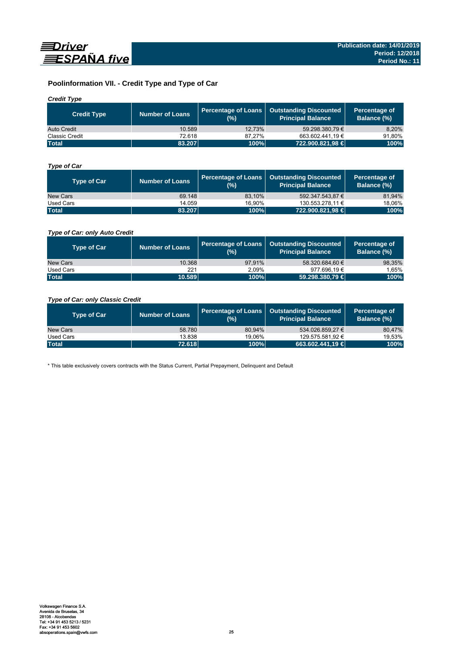

## **Poolinformation VII. - Credit Type and Type of Car**

## *Credit Type*

| <b>Credit Type</b> | Number of Loans | (%)    | Percentage of Loans   Outstanding Discounted<br>l Principal Balance <sup>\</sup> | Percentage of<br>Balance (%) |
|--------------------|-----------------|--------|----------------------------------------------------------------------------------|------------------------------|
| Auto Credit        | 10.589          | 12.73% | 59.298.380.79 €                                                                  | 8,20%                        |
| Classic Credit     | 72.618          | 87.27% | 663.602.441.19 €                                                                 | 91.80%                       |
| <b>Total</b>       | 83.207          | 100%   | 722.900.821,98 €                                                                 | 100%                         |

## *Type of Car*

| <b>Type of Car</b> | <b>Number of Loans</b> | (%)    | Percentage of Loans   Outstanding Discounted<br><b>Principal Balance</b> | Percentage of<br>Balance (%) |
|--------------------|------------------------|--------|--------------------------------------------------------------------------|------------------------------|
| New Cars           | 69.148                 | 83.10% | 592.347.543.87 €                                                         | 81,94%                       |
| Used Cars          | 14.059                 | 16.90% | 130.553.278.11 €                                                         | 18,06%                       |
| <b>Total</b>       | 83.207                 | 100%   | 722.900.821,98 €                                                         | 100%                         |

## *Type of Car: only Auto Credit*

| <b>Type of Car</b> | <b>Number of Loans</b> | (% )   | Percentage of Loans   Outstanding Discounted<br><b>Principal Balance</b> | Percentage of<br>Balance (%) |
|--------------------|------------------------|--------|--------------------------------------------------------------------------|------------------------------|
| New Cars           | 10.368                 | 97.91% | 58.320.684.60 €                                                          | 98,35%                       |
| Used Cars          | 221                    | 2.09%  | 977.696.19 €                                                             | 1,65%                        |
| <b>Total</b>       | 10.589                 | 100%   | 59.298.380,79 €                                                          | 100%                         |

## *Type of Car: only Classic Credit*

| <b>Type of Car</b> | <b>Number of Loans</b> | (%)    | Percentage of Loans   Outstanding Discounted<br><b>Principal Balance</b> | Percentage of<br>Balance (%) |
|--------------------|------------------------|--------|--------------------------------------------------------------------------|------------------------------|
| New Cars           | 58.780                 | 80.94% | 534.026.859.27 €                                                         | 80,47%                       |
| Used Cars          | 13.838                 | 19.06% | 129.575.581.92 €                                                         | 19,53%                       |
| <b>Total</b>       | 72.618                 | 100%   | 663.602.441.19 €                                                         | 100%                         |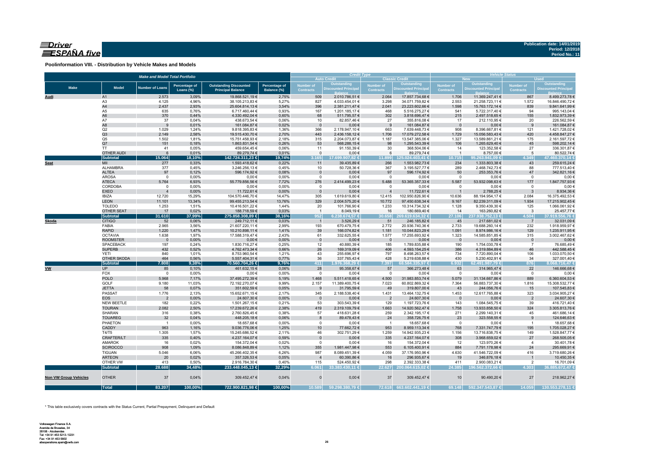## $\equiv$ Driver ESPAÑA five

**Poolinformation VIII. - Distribution by Vehicle Makes and Models**

|                       |                                    | <b>Make and Model Total Portfolio</b> |                                   |                                                           |                              |                                      | <b>Auto Credit</b>           | <b>Credit Type</b>       | <b>Classic Credit</b>            | <b>Vehicle Status</b><br><b>Used</b><br><b>New</b> |                                  |                                  |                                |  |
|-----------------------|------------------------------------|---------------------------------------|-----------------------------------|-----------------------------------------------------------|------------------------------|--------------------------------------|------------------------------|--------------------------|----------------------------------|----------------------------------------------------|----------------------------------|----------------------------------|--------------------------------|--|
|                       |                                    |                                       |                                   |                                                           |                              |                                      | Outstanding                  | Number of                | Outstanding                      | <b>Number of</b>                                   | Outstanding                      | <b>Number of</b>                 | <b>Outstanding</b>             |  |
| <b>Make</b>           | <b>Model</b>                       | <b>Number of Loans</b>                | <b>Percentage of</b><br>Loans (%) | <b>Outstanding Discounted</b><br><b>Principal Balance</b> | Percentage of<br>Balance (%) | <b>Number of</b><br><b>Contracts</b> | <b>Discounted Principa</b>   | <b>Contracts</b>         | <b>Discounted Principa</b>       | Contracts                                          | <b>Discounted Principa</b>       | <b>Contracts</b>                 | <b>Discounted Principal</b>    |  |
| Audi                  | A1                                 | 2.573                                 | 3,09%                             | 19.868.521,19 €                                           | 2,75%                        | 509                                  | 2.010.786,51 €               | 2.064                    | 17.857.734,68 €                  | 1.706                                              | 11.369.247,41 €                  | 867                              | 8.499.273,78€                  |  |
|                       | A <sub>3</sub>                     | 4.125                                 | 4,96%                             | 38.105.213,83 €                                           | 5,27%                        | 827                                  | 4.033.454,01 €               | 3.298                    | 34.071.759,82 €                  | 2.553                                              | 21.258.723,11 €                  | 1.572                            | 16.846.490,72 €                |  |
|                       | A4                                 | 2.437                                 | 2,93%                             | 25.604.814,13 €                                           | 3,54%                        | 396                                  | 2.381.211,47 €               | 2.041                    | 23.223.602,66 €                  | 1.598                                              | 15.763.172,14 €                  | 839                              | 9.841.641,99 €                 |  |
|                       | A5                                 | 635                                   | 0,76%                             | 6.717.460,44 €                                            | 0,93%                        | 167                                  | 1.201.185,17 €               | 468                      | 5.516.275,27 €                   | 541                                                | 5.722.317,40 €                   | 94                               | 995.143,04 €                   |  |
|                       | A <sub>6</sub>                     | 370                                   | 0,44%                             | 4.330.492,04 €                                            | 0,60%                        | 68                                   | 511.795,57€                  | 302                      | 3.818.696,47 €                   | 215                                                | 2.497.518,65 €                   | 155                              | 1.832.973,39 €                 |  |
|                       | A7                                 | 37                                    | 0,04%                             | 438.673,54 €                                              | 0,06%                        | 10                                   | 82.857,46€                   | 27                       | 355.816,08€                      | 17                                                 | 212.110,95 €                     | 20                               | 226.562,59€                    |  |
|                       | A8<br>Q2                           | 9<br>1.029                            | 0,01%<br>1,24%                    | 161.084,87 €<br>9.818.395,83 €                            | 0,02%<br>1,36%               | $\mathbf{0}$<br>366                  | $0,00 \in$<br>2.178.947,10 € | - 9<br>663               | 161.084,87 €<br>7.639.448,73 €   | $\overline{\mathbf{0}}$<br>908                     | $0,00 \in$<br>8.396.667,81 €     | 9<br>121                         | 161.084,87 €<br>1.421.728,02 € |  |
|                       | Q3                                 | 2.149                                 | 2,58%                             | 19.515.430,70 €                                           | 2,70%                        | 443                                  | 2.436.158,12 €               | 1.706                    | 17.079.272,58 €                  | 1.729                                              | 15.056.583,43 €                  | 420                              | 4.458.847,27 €                 |  |
|                       | Q <sub>5</sub>                     | 1.502                                 | 1,81%                             | 15.751.458,93 €                                           | 2,18%                        | 315                                  | 2.204.073,87 €               | 1.187                    | 13.547.385,06 €                  | 1.327                                              | 13.589.861,21 €                  | 175                              | 2.161.597,72 €                 |  |
|                       | Q7                                 | 151                                   | 0,18%                             | 1.863.831,54 €                                            | 0,26%                        | 53                                   | 568.288,15 €                 | 98                       | 1.295.543,39 €                   | 106                                                | 1.265.629,40 €                   | 45                               | 598.202,14 €                   |  |
|                       | <b>TT</b>                          | 41                                    | 0,05%                             | 459.654,45€                                               | 0,06%                        | 11                                   | 91.150,39 €                  | 30                       | 368.504,06 €                     | 14                                                 | 123.352,58 €                     | 27                               | 336.301,87 €                   |  |
|                       | <b>OTHER AUDI</b>                  | 6                                     | 0,01%                             | 89.279,74 €                                               | 0,01%                        | $\mathbf 0$                          | $0,00 \in$                   | 6                        | 89.279,74 €                      | $\overline{1}$                                     | 8.757,00 €                       | $5\phantom{.0}$                  | 80.522,74 €                    |  |
|                       | Subtotal                           | 15.064                                | 18,10%                            | 142.724.311,23 €                                          | 19,74%                       | 3.165                                | 17.699.907.82 €              | 11.899                   | 125.024.403.41 €                 | 10.715                                             | 95.263.941.09 €                  | 4.349                            | 47.460.370,14 €                |  |
| Seat                  | MII<br>ALHAMBRA                    | 277<br>377                            | 0,33%<br>0,45%                    | 1.593.418,62 €<br>3.246.256,13 €                          | 0,22%<br>0,45%               | 11<br>10                             | 39.435,89 €<br>50.728,36 €   | 266<br>367               | 1.553.982,73 €                   | 234<br>289                                         | 1.333.803,38 €                   | 43<br>88                         | 259.615,24 €                   |  |
|                       | <b>ALTEA</b>                       | 97                                    | 0,12%                             | 596.174,92 €                                              | 0,08%                        | $\mathbf 0$                          | $0,00 \in$                   | 97                       | 3.195.527,77 €<br>596.174,92 €   | 50                                                 | 2.468.742,73 €<br>253.353,76 €   | 47                               | 777.513,40 €<br>342.821,16€    |  |
|                       | <b>AROSA</b>                       | $\mathbf 0$                           | 0,00%                             | $0,00 \in$                                                | 0,00%                        | $^{\circ}$                           | $0,00 \in$                   | $\overline{0}$           | $0,00 \in$                       | $\mathbf{0}$                                       | $0,00 \in$                       | $\overline{0}$                   | 0,00€                          |  |
|                       | <b>ATECA</b>                       | 5.764                                 | 6,93%                             | 55.779.856,56 €                                           | 7,72%                        | 276                                  | 2.414.499,23 €               | 5.488                    | 53.365.357,33 €                  | 5.587                                              | 53.932.098,63 €                  | 177                              | 1.847.757,93 €                 |  |
|                       | CORDOBA                            | $\mathbf 0$                           | 0,00%                             | $0,00 \in$                                                | 0,00%                        | $\mathbf{0}$                         | $0,00 \in$                   | $\mathbf 0$              | $0,00 \in$                       | $\overline{0}$                                     | $0,00 \in$                       | $\mathbf 0$                      | $0,00$ €                       |  |
|                       | <b>EXEO</b>                        |                                       | 0,00%                             | 11.722,61 €                                               | 0,00%                        | $\mathbf{0}$                         | $0,00 \in$                   | $\overline{4}$           | 11.722,61 €                      | $\mathbf{1}$                                       | 2.788,25 €                       | $\mathbf{3}$                     | 8.934,36€                      |  |
|                       | <b>IBIZA</b>                       | 12.720                                | 15,29%                            | 104.570.446,70 €                                          | 14,47%                       | 305                                  | 1.619.619,80 €               | 12.415                   | 102.950.826,90 €                 | 10.636                                             | 88.194.954,17 €                  | 2.084                            | 16.375.492,53 €                |  |
|                       | <b>LEON</b>                        | 11.101                                | 13,34%                            | 99.455.213,54 €                                           | 13,76%                       | 329                                  | 2.004.575,20 €               | 10.772                   | 97.450.638,34 €                  | 9.167                                              | 82.239.311,09 €                  | 1.934                            | 17.215.902,45 €                |  |
|                       | <b>TOLEDO</b><br><b>OTHER SEAT</b> | 1.253<br>17                           | 1,51%<br>0,02%                    | 10.416.501,22 €                                           | 1,44%<br>0,03%               | 20                                   | 101.766,90 €                 | 1.233                    | 10.314.734,32 €                  | 1.128<br>14                                        | 9.350.439,30 €                   | 125                              | 1.066.061,92 €                 |  |
|                       | <b>Subtotal</b>                    | 31.610                                | 37,99%                            | 188.718,59 €<br>275.858.308,89 €                          | 38,16%                       | $\overline{1}$<br>952                | 8.049,19€<br>6.238.674.57 €  | 16<br>30.658             | 180.669,40 €<br>269.619.634,32 € | 27.106                                             | 163.260,82 €<br>237.938.752,13 € | $\overline{\mathbf{3}}$<br>4.504 | 25.457,77 €<br>37.919.556,76 € |  |
| <b>Skoda</b>          | <b>CITIGO</b>                      | 52                                    | 0,06%                             | 249.712,11 €                                              | 0,03%                        | $\overline{1}$                       | 3.526,29 €                   | 51                       | 246.185,82 €                     | 45                                                 | 217.681,02 €                     | $\overline{7}$                   | 32.031,09€                     |  |
|                       | FABIA                              | 2.965                                 | 3,56%                             | 21.607.220,11 €                                           | 2,99%                        | 193                                  | 670.479,75 €                 | 2.772                    | 20.936.740,36 €                  | 2.733                                              | 19.688.260,14 €                  | 232                              | 1.918.959,97 €                 |  |
|                       | <b>RAPID</b>                       | 1.220                                 | 1,47%                             | 10.210.898,11 €                                           | 1,41%                        | 39                                   | 166.074,82 €                 | 1.181                    | 10.044.823,29 €                  | 1.091                                              | 8.974.986,16 €                   | 129                              | 1.235.911,95 €                 |  |
|                       | <b>OCTAVIA</b>                     | 1.638                                 | 1,97%                             | 17.588.319,47 €                                           | 2,43%                        | 61                                   | 332.625,55 €                 | 1.577                    | 17.255.693,92 €                  | 1.323                                              | 14.585.851,85 €                  | 315                              | 3.002.467,62 €                 |  |
|                       | <b>ROOMSTER</b>                    | $\overline{\phantom{0}}$              | 0,00%                             | $0,00 \in$                                                | 0,00%                        | $\mathbf 0$                          | $0,00 \in$                   | $\overline{\phantom{0}}$ | $0,00 \in$                       | $\overline{\phantom{0}}$                           | $0,00 \in$                       | $\mathbf 0$                      | $0,00$ €                       |  |
|                       | <b>SPACEBACK</b>                   | 197                                   | 0,24%                             | 1.830.716,27 €                                            | 0,25%                        | 12                                   | 40.880,39 €                  | 185                      | 1.789.835,88 €                   | 190                                                | 1.754.030,78 €                   | $\overline{7}$                   | 76.685,49€                     |  |
|                       | <b>SUPERB</b><br>YETI              | 432<br>840                            | 0,52%<br>1,01%                    | 4.762.473,34 €<br>8.753.960,54 €                          | 0,66%<br>1,21%               | 26<br>43                             | 169.319,09€<br>255.696,97€   | 406<br>797               | 4.593.154,25 €<br>8.498.263,57 € | 386<br>734                                         | 4.319.884,89 €<br>7.720.890,04 € | 46<br>106                        | 442.588,45€<br>1.033.070,50 €  |  |
|                       | <b>OTHER SKODA</b>                 | 464                                   | 0,56%                             | 5.557.404,31 €                                            | 0,77%                        | 36                                   | 337.765,43 €                 | 428                      | 5.219.638,88 €                   | 430                                                | 5.230.402,91 €                   | 34                               | 327.001,40 €                   |  |
|                       | Subtotal                           | 7.808                                 | 9,38%                             | 70.560.704.26 €                                           | 9,76%                        | 411                                  | .976.368.29 €                | 7.397                    | 68.584.335.97€                   | 6.932                                              | 62.491.987.79 €                  | 876                              | 8.068.716.47 €                 |  |
| <b>VW</b>             | <b>UP</b>                          | 85                                    | 0,10%                             | 461.632,15€                                               | 0,06%                        | 28                                   | 95.358,67 €                  | 57                       | 366.273,48 €                     | 63                                                 | 314.965,47 €                     | 22                               | 146.666,68€                    |  |
|                       | FOX                                | $\mathbf 0$                           | 0,00%                             | $0,00 \in$                                                | 0,00%                        | $\mathbf 0$                          | $0,00 \in$                   | $\overline{0}$           | $0,00 \in$                       | $\overline{0}$                                     | $0,00 \in$                       | $\overline{0}$                   | $0,00 \in$                     |  |
|                       | <b>POLO</b>                        | 5.968                                 | 7,17%                             | 37.495.272,39 €                                           | 5,19%                        | 1.468                                | 5.511.418,65 €               | 4.500                    | 31.983.853,74 €                  | 5.079                                              | 31.134.667,86 €                  | 889                              | 6.360.604,53 €                 |  |
|                       | GOLF                               | 9.180                                 | 11,03%                            | 72.192.270,07 €                                           | 9,99%                        | 2.157                                | 11.389.400,75 €              | 7.023                    | 60.802.869,32 €                  | 7.364                                              | 56.883.737,30 €                  | 1.816                            | 15.308.532,77 €                |  |
|                       | <b>JETTA</b>                       | 58                                    | 0,07%                             | 351.602,59 €                                              | 0,05%                        | 9                                    | 31.795,59€                   | 49                       | 319.807,00 €                     | 43                                                 | 244.056,76 €                     | 15                               | 107.545,83 €                   |  |
|                       | <b>PASSAT</b>                      | 1.776                                 | 2,13%                             | 15.652.671,15€                                            | 2,17%                        | 345                                  | 2.188.538,40 €               | 1.431                    | 13.464.132,75 €                  | 1.453                                              | 12.617.765,88 €                  | 323                              | 3.034.905.27 €                 |  |
|                       | <b>EOS</b><br>NEW BEETLE           | $\overline{2}$<br>182                 | 0,00%<br>0,22%                    | 24.607,30 €<br>1.501.267,15 €                             | 0,00%<br>0,21%               | $\overline{0}$<br>53                 | $0,00 \in$<br>303.543,39 €   | $\overline{2}$<br>129    | 24.607,30 €<br>1.197.723,76 €    | $\overline{\mathbf{0}}$<br>143                     | $0,00 \in$<br>1.084.545,75 €     | $\overline{2}$<br>39             | 24.607,30 €<br>416.721,40 €    |  |
|                       | <b>TOURAN</b>                      | 2.082                                 | 2,50%                             | 17.239.672,26 €                                           | 2,38%                        | 419                                  | 2.319.109,79 €               | 1.663                    | 14.920.562,47 €                  | 1.758                                              | 13.933.858,50 €                  | 324                              | 3.305.813,76 €                 |  |
|                       | SHARAN                             | 316                                   | 0,38%                             | 2.760.826,45 €                                            | 0,38%                        | 57                                   | 418.631,28 €                 | 259                      | 2.342.195,17 €                   | 271                                                | 2.299.140,31 €                   | 45                               | 461.686,14 €                   |  |
|                       | <b>TOUAREG</b>                     | 32                                    | 0,04%                             | 448.205,18€                                               | 0,06%                        | 8                                    | 89.478,43€                   | 24                       | 358.726,75 €                     | 23                                                 | 323.558,55 €                     | 9                                | 124.646,63€                    |  |
|                       | PHAETON                            | $\overline{1}$                        | 0,00%                             | 18.657,68 €                                               | 0,00%                        | $^{\circ}$                           | $0,00 \in$                   | $\overline{1}$           | 18.657,68 €                      | $^{\circ}$                                         | $0,00 \in$                       | $\overline{1}$                   | 18.657,68€                     |  |
|                       | CADDY                              | 963                                   | 1,16%                             | 9.036.776,06 €                                            | 1,25%                        | 10                                   | 77.662,72 €                  | 953                      | 8.959.113,34 €                   | 768                                                | 7.331.747,79 €                   | 195                              | 1.705.028,27 €                 |  |
|                       | T4/T5                              | 1.305                                 | 1,57%                             | 15.245.686,52 €                                           | 2,11%                        | 46                                   | 302.751,29 €                 | 1.259                    | 14.942.935,23 €                  | 1.156                                              | 13.716.838,75 €                  | 149                              | 1.528.847,77 €                 |  |
|                       | <b>CRAFTER/LT</b>                  | 335                                   | 0,40%                             | 4.237.164,07 €                                            | 0,59%                        | $\mathbf 0$                          | $0.00 \in$                   | 335                      | 4.237.164,07 €                   | 308                                                | 3.968.659,02 €                   | 27                               | 268.505,05€                    |  |
|                       | AMAROK                             | 16                                    | 0,02%                             | 154.372,04 €                                              | 0,02%                        | $\mathsf 0$                          | $0,00 \in$                   | 16                       | 154.372,04 €                     | 12                                                 | 123.970,26 €                     | 4                                | 30.401,78 €                    |  |
|                       | <b>SCIROCCO</b>                    | 908                                   | 1,09%                             | 8.086.848,89 €                                            | 1,12%                        | 355<br>987                           | 1.981.447,98 €               | 553                      | 6.105.400,91 €                   | 884                                                | 7.791.178,98 €                   | 24                               | 295.669,91 €                   |  |
|                       | TIGUAN<br><b>ARTEON</b>            | 5.046<br>20                           | 6,06%<br>0,02%                    | 45.266.402,35 €                                           | 6,26%                        | $\overline{4}$                       | 8.089.451,39 €               | 4.059                    | 37.176.950,96 €                  | 4.630                                              | 41.546.722,09 €                  | 416                              | 3.719.680,26 €                 |  |
|                       | OTHER VW                           | 413                                   | 0,50%                             | 357.326,53 €<br>2.916.784,30 €                            | 0,05%<br>0,40%               | 115                                  | 60.390,86 €<br>524.450,92 €  | 16<br>298                | 296.935,67 €<br>2.392.333,38 €   | 19<br>411                                          | 346.876,18€<br>2.900.083,21 €    | 2                                | 10.450,35 €<br>16.701,09€      |  |
|                       | Subtotal                           | 28.688                                | 34,48%                            | 233.448.045.13 €                                          | 32.29%                       | 6.061                                | 33.383.430,11 €              |                          | 22.627 200.064.615.02 €          | 24.385                                             | 196.562.372.66 €                 | 4.303                            | 36.885.672.47 €                |  |
|                       |                                    |                                       |                                   |                                                           |                              |                                      |                              |                          |                                  |                                                    |                                  |                                  |                                |  |
| Non VW Group Vehicles | <b>OTHER</b>                       | 37                                    | 0,04%                             | 309.452,47€                                               | 0,04%                        | $\Omega$                             | $0,00 \in$                   | 37                       | 309.452,47€                      | 10                                                 | 90.490,20 €                      | 27                               | 218.962,27 €                   |  |
|                       | <b>Total</b>                       | 83.207                                | 100,00%                           | 722.900.821,98 €                                          | 100,00%                      | 10.589                               | 59.298.380,79 €              |                          | 72.618 663.602.441,19 €          | 69.148                                             | 592.347.543,87 €                 | 14.059                           | 130.553.278,11 €               |  |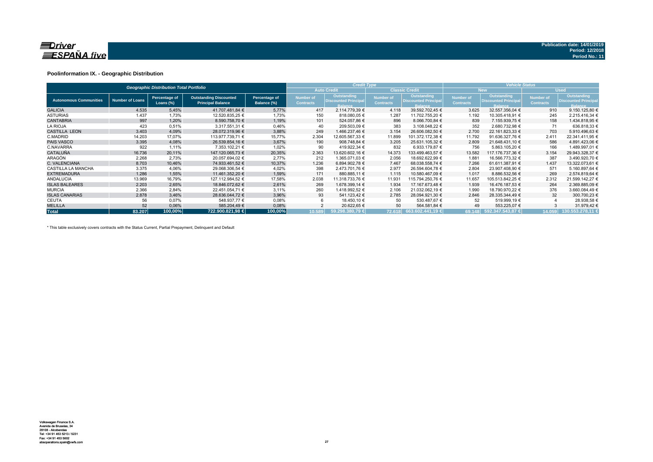

### **Poolinformation IX. - Geographic Distribution**

|                               |                        | <b>Geographic Distribution Total Portfolio</b> |                                                           |                              |                               | <b>Credit Type</b>                                           |                                      |                                                              | <b>Vehicle Status</b>                |                                                                     |                               |                                                             |  |
|-------------------------------|------------------------|------------------------------------------------|-----------------------------------------------------------|------------------------------|-------------------------------|--------------------------------------------------------------|--------------------------------------|--------------------------------------------------------------|--------------------------------------|---------------------------------------------------------------------|-------------------------------|-------------------------------------------------------------|--|
|                               |                        |                                                |                                                           |                              |                               | <b>Auto Credit</b>                                           |                                      | <b>Classic Credit</b>                                        |                                      | <b>New</b>                                                          |                               | <b>Used</b>                                                 |  |
| <b>Autonomous Communities</b> | <b>Number of Loans</b> | Percentage of<br>Loans (%)                     | <b>Outstanding Discounted</b><br><b>Principal Balance</b> | Percentage of<br>Balance (%) | Number of<br><b>Contracts</b> | Outstanding<br><b>Discounted Principal</b><br><b>Balance</b> | <b>Number of</b><br><b>Contracts</b> | Outstanding<br><b>Discounted Principal</b><br><b>Balance</b> | <b>Number of</b><br><b>Contracts</b> | <b>Outstanding</b><br><b>Discounted Principal</b><br><b>Balance</b> | Number of<br><b>Contracts</b> | Outstanding<br><b>Discounted Principa</b><br><b>Balance</b> |  |
| <b>GALICIA</b>                | 4.535                  | 5,45%                                          | 41.707.481,84 €                                           | 5,77%                        | 417                           | 2.114.779,39 €                                               | 4.118                                | 39.592.702,45 €                                              | 3.625                                | 32.557.356,04 €                                                     | 910                           | 9.150.125,80 €                                              |  |
| <b>ASTURIAS</b>               | 1.437                  | 1,73%                                          | 12.520.835,25 €                                           | 1,73%                        | 150                           | 818.080,05 €                                                 | 1.287                                | 11.702.755,20 €                                              | 1.192                                | 10.305.418,91 €                                                     | 245                           | 2.215.416,34 €                                              |  |
| <b>CANTABRIA</b>              | 997                    | 1,20%                                          | 8.590.758.70 €                                            | 1,19%                        | 101                           | 524.057.86 €                                                 | 896                                  | 8.066.700,84 €                                               | 839                                  | 7.155.939.75 €                                                      | 158                           | 1.434.818,95 €                                              |  |
| <b>LA RIOJA</b>               | 423                    | 0.51%                                          | 3.317.551.31 €                                            | 0,46%                        | 40                            | 209.503.09 €                                                 | 383                                  | 3.108.048.22 €                                               | 352                                  | 2.680.732.98 €                                                      | 71                            | 636.818,33 €                                                |  |
| <b>CASTILLA LEON</b>          | 3.403                  | 4,09%                                          | 28.072.319,96 €                                           | 3,88%                        | 249                           | 1.466.237.46 €                                               | 3.154                                | 26.606.082,50 €                                              | 2.700                                | 22.161.823,33 €                                                     | 703                           | 5.910.496,63 €                                              |  |
| C.MADRID                      | 14.203                 | 17,07%                                         | 113.977.739,71 €                                          | 15,77%                       | 2.304                         | 12.605.567,33 €                                              | 11.899                               | 101.372.172,38 €                                             | 11.792                               | 91.636.327,76 €                                                     | 2.411                         | 22.341.411,95 €                                             |  |
| <b>PAIS VASCO</b>             | 3.395                  | 4,08%                                          | 26.539.854.16 €                                           | 3,67%                        | 190                           | 908.748.84 €                                                 | 3.205                                | 25.631.105.32 €                                              | 2.809                                | 21.648.431.10 €                                                     | 586                           | 4.891.423,06 €                                              |  |
| C.NAVARRA                     | 922                    | 1,11%                                          | 7.353.102,21 €                                            | 1,02%                        | 90                            | 419.922,34 €                                                 | 832                                  | 6.933.179,87 €                                               | 756                                  | 5.863.105,20 €                                                      | 166                           | 1.489.997,01 €                                              |  |
| <b>CATALUÑA</b>               | 16.736                 | 20,11%                                         | 147.120.065.73 €                                          | 20,35%                       | 2.363                         | 13.620.602.16 €                                              | 14.373                               | 133.499.463.57 €                                             | 13.582                               | 117.176.737.36 €                                                    | 3.154                         | 29.943.328,37 €                                             |  |
| ARAGÓN                        | 2.268                  | 2,73%                                          | 20.057.694.02 €                                           | 2,77%                        | 212                           | 1.365.071,03 €                                               | 2.056                                | 18.692.622,99 €                                              | 1.881                                | 16.566.773.32 €                                                     | 387                           | 3.490.920,70 €                                              |  |
| C. VALENCIANA                 | 8.703                  | 10,46%                                         | 74.933.461.52 €                                           | 10,37%                       | 1.236                         | 6.894.902.78 €                                               | 7.467                                | 68.038.558.74 €                                              | 7.266                                | 61.611.387.91 €                                                     | 1.437                         | 13.322.073.61 €                                             |  |
| <b>CASTILLA LA MANCHA</b>     | 3.375                  | 4,06%                                          | 29.068.306,54 €                                           | 4,02%                        | 398                           | 2.473.701,76 €                                               | 2.977                                | 26.594.604,78 €                                              | 2.804                                | 23.907.408,90 €                                                     | 571                           | 5.160.897,64 €                                              |  |
| <b>EXTREMADURA</b>            | 1.286                  | 1,55%                                          | 11.461.352.20 €                                           | 1,59%                        | 171                           | 880.885,11 €                                                 | 1.115                                | 10.580.467.09 €                                              | 1.017                                | 8.886.532.56 €                                                      | 269                           | 2.574.819.64 €                                              |  |
| <b>ANDALUCIA</b>              | 13.969                 | 16,79%                                         | 127.112.984.52 €                                          | 17,58%                       | 2.038                         | 11.318.733.76 €                                              | 11.931                               | 115.794.250.76 €                                             | 11.657                               | 105.513.842,25 €                                                    | 2.312                         | 21.599.142.27 €                                             |  |
| <b>ISLAS BALEARES</b>         | 2.203                  | 2,65%                                          | 18.846.072.62 €                                           | 2,61%                        | 269                           | 1.678.399.14 €                                               | 1.934                                | 17.167.673.48 €                                              | 1.939                                | 16.476.187.53 €                                                     | 264                           | 2.369.885,09 €                                              |  |
| <b>MURCIA</b>                 | 2.366                  | 2,84%                                          | 22.451.054,71 €                                           | 3,11%                        | 260                           | 1.418.992,52 €                                               | 2.106                                | 21.032.062,19 €                                              | 1.990                                | 18.790.970.22 €                                                     | 376                           | 3.660.084,49 €                                              |  |
| <b>ISLAS CANARIAS</b>         | 2.878                  | 3,46%                                          | 28.636.044,72 €                                           | 3,96%                        | 93                            | 541.123.42 €                                                 | 2.785                                | 28.094.921,30 €                                              | 2.846                                | 28.335.344,49 €                                                     | 32                            | 300.700,23 €                                                |  |
| <b>CEUTA</b>                  | 56                     | 0,07%                                          | 548.937,77 €                                              | 0,08%                        |                               | 18.450,10 €                                                  | 50                                   | 530.487,67 €                                                 | 52                                   | 519.999,19 €                                                        |                               | 28.938,58 €                                                 |  |
| <b>MELILLA</b>                | 52                     | 0,06%                                          | 585.204,49€                                               | 0,08%                        |                               | 20.622,65 €                                                  | 50                                   | 564.581,84 €                                                 | 49                                   | 553.225,07 €                                                        |                               | 31.979,42 €                                                 |  |
| <b>Total</b>                  | 83.207                 | 100,00%                                        | 722.900.821.98 €                                          | 100,00%                      | 10.589                        | 59.298.380.79 €                                              |                                      | 72.618 663.602.441,19 €                                      |                                      | 69.148 592.347.543,87 €                                             | 14.059                        | 130.553.278.11                                              |  |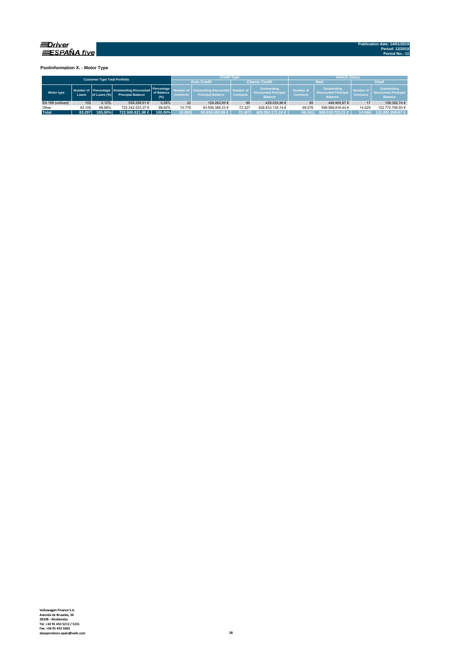

**Poolinformation X. - Motor Type**

| <b>Customer Type Total Portfolio</b> |        |              |                                                                         |                                 |                                                                                           | <b>Credit Type</b> |                  |                                                              | <b>Vehicle Status</b>                |                                                                     |                               |                                                                     |  |  |
|--------------------------------------|--------|--------------|-------------------------------------------------------------------------|---------------------------------|-------------------------------------------------------------------------------------------|--------------------|------------------|--------------------------------------------------------------|--------------------------------------|---------------------------------------------------------------------|-------------------------------|---------------------------------------------------------------------|--|--|
|                                      |        |              |                                                                         |                                 |                                                                                           | <b>Auto Credit</b> |                  | <b>Classic Credit</b>                                        |                                      | <b>Nev</b>                                                          | <b>Used</b>                   |                                                                     |  |  |
| Motor type                           | Loans  | of Loans (%) | Number of Percentage Outstanding Discounted<br><b>Principal Balance</b> | Percentage<br>of Balance<br>(%) | <b>Outstanding Discounted   Number of</b><br><b>Principal Balance</b><br><b>Contracts</b> |                    | <b>Contracts</b> | Outstanding<br><b>Discounted Principal</b><br><b>Balance</b> | <b>Number of</b><br><b>Contracts</b> | <b>Outstanding</b><br><b>Discounted Principal</b><br><b>Balance</b> | Number of<br><b>Contracts</b> | <b>Outstanding</b><br><b>Discounted Principal</b><br><b>Balance</b> |  |  |
| EA 189 (unfixed)                     | 102    | 0.12%        | 558.298.61 €                                                            | 0.08%                           | 22                                                                                        | 129.262.65 €       | 80               | 429.035.96 €                                                 | 85                                   | 449.905.87 €                                                        |                               | 108.392.74 €                                                        |  |  |
| Other                                | 83.105 | 99.88%       | 722.342.523.37 €                                                        | 99.92%                          | 10.778                                                                                    | 93.509.388.23 €    | 72.327           | 628.833.135.14 €                                             | 69.076                               | 599.569.816.44 €                                                    | 14.029                        | 122.772.706.93 €                                                    |  |  |
| <b>Total</b>                         | 83.207 | 100.00%      | 722.900.821.98 €                                                        | 100.00%                         | 10.800                                                                                    | 93.638.650.88 €    | 72.407           | 629.262.171.10 €                                             | 69.161                               | 600.019.722.31 €                                                    | 14.046                        | 122.881.099.67 €                                                    |  |  |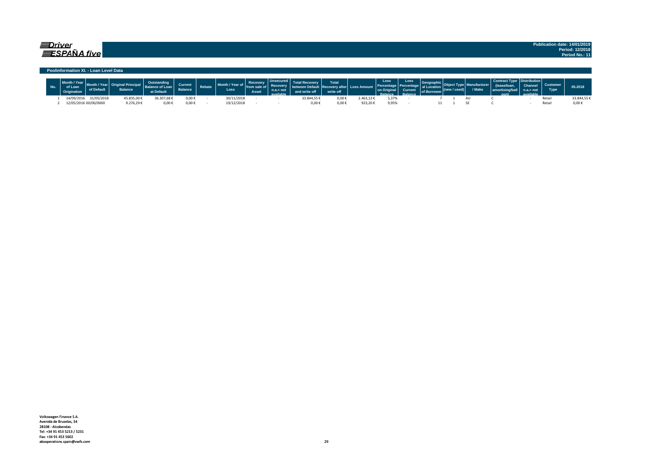### $\equiv$ Driver  $\equiv$ SPAÑA five

**Publication date: 14/01/2019 Period: 12/2018 Period No.: 11**

#### **Poolinformation XI. - Loan Level Data**

| $\sim$     | of Det                | <b>Balance</b> | af Lane<br>at Default | <b>Current</b><br><b>Balance</b> | Rebate | $\frac{1}{2}$ $\frac{1}{2}$ $\frac{1}{2}$ $\frac{1}{2}$ $\frac{1}{2}$ $\frac{1}{2}$ $\frac{1}{2}$ $\frac{1}{2}$ $\frac{1}{2}$ $\frac{1}{2}$ $\frac{1}{2}$ $\frac{1}{2}$ $\frac{1}{2}$ $\frac{1}{2}$ $\frac{1}{2}$ $\frac{1}{2}$ $\frac{1}{2}$ $\frac{1}{2}$ $\frac{1}{2}$ $\frac{1}{2}$ $\frac{1}{2}$ $\frac{1}{2}$<br>Month / `<br>Loss | Asset | Lincocin |            | <b>Total</b><br>write off |           | Loss  | <b>Loss</b><br><b>Current</b><br><b>Palance</b> | of Borrower | w / used) | V Make | <b>Contract Type</b><br>norti<br>aant | <b>Type</b> | 05.2018    |
|------------|-----------------------|----------------|-----------------------|----------------------------------|--------|------------------------------------------------------------------------------------------------------------------------------------------------------------------------------------------------------------------------------------------------------------------------------------------------------------------------------------------|-------|----------|------------|---------------------------|-----------|-------|-------------------------------------------------|-------------|-----------|--------|---------------------------------------|-------------|------------|
| 14/09/2016 | 31/05/2018            | 45.835,00€     | 36.307,68€            | 0,00€                            |        | 30/11/2018                                                                                                                                                                                                                                                                                                                               |       |          | 3.844.55 + | 0,00€                     | !.463,13€ | 5,37% |                                                 |             |           |        |                                       | Reta        | 33.844,55€ |
|            | 12/05/2016 00/00/0000 | 0.276,29       | 0,00€                 | $0,00 \in$                       |        | 19/12/2018                                                                                                                                                                                                                                                                                                                               |       |          | $0.00*$    | $0,00 \in$                | 923,20€   | 9,95% |                                                 |             |           |        |                                       | Reta        | J.UU       |